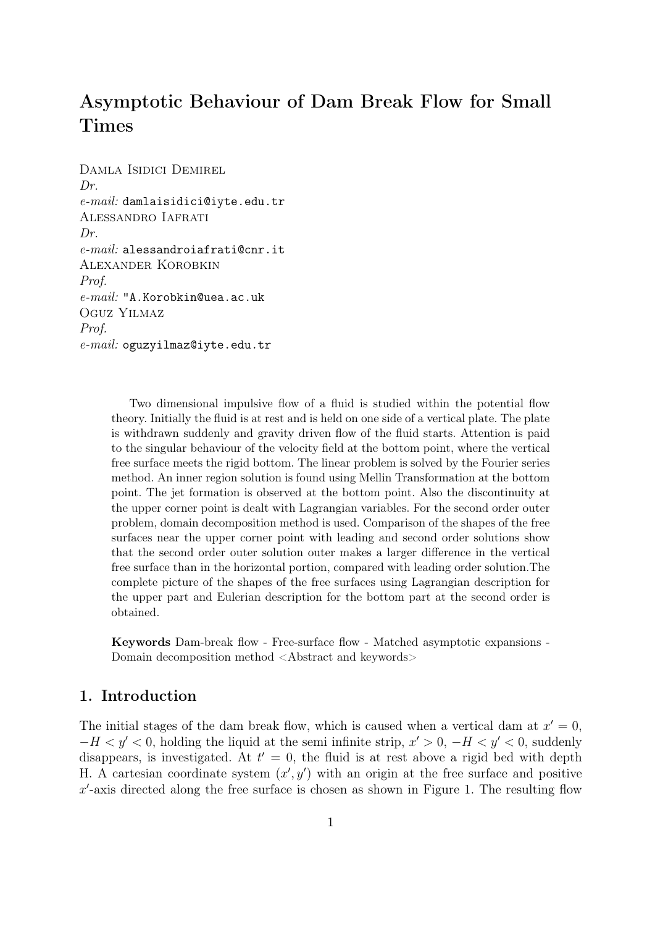# Asymptotic Behaviour of Dam Break Flow for Small Times

Damla Isidici Demirel *Dr. e-mail:* damlaisidici@iyte.edu.tr Alessandro Iafrati *Dr. e-mail:* alessandroiafrati@cnr.it Alexander Korobkin *Prof. e-mail:* "A.Korobkin@uea.ac.uk Oguz Yilmaz*Prof. e-mail:* oguzyilmaz@iyte.edu.tr

> Two dimensional impulsive flow of a fluid is studied within the potential flow theory. Initially the fluid is at rest and is held on one side of a vertical plate. The plate is withdrawn suddenly and gravity driven flow of the fluid starts. Attention is paid to the singular behaviour of the velocity field at the bottom point, where the vertical free surface meets the rigid bottom. The linear problem is solved by the Fourier series method. An inner region solution is found using Mellin Transformation at the bottom point. The jet formation is observed at the bottom point. Also the discontinuity at the upper corner point is dealt with Lagrangian variables. For the second order outer problem, domain decomposition method is used. Comparison of the shapes of the free surfaces near the upper corner point with leading and second order solutions show that the second order outer solution outer makes a larger difference in the vertical free surface than in the horizontal portion, compared with leading order solution.The complete picture of the shapes of the free surfaces using Lagrangian description for the upper part and Eulerian description for the bottom part at the second order is obtained.

> Keywords Dam-break flow - Free-surface flow - Matched asymptotic expansions - Domain decomposition method <Abstract and keywords>

# 1. Introduction

The initial stages of the dam break flow, which is caused when a vertical dam at  $x' = 0$ , *−H*  $\lt$  *y*  $\lt$  0, holding the liquid at the semi infinite strip, *x*  $\lt$  > 0, *−H*  $\lt$  *y*  $\lt$  0, suddenly disappears, is investigated. At  $t' = 0$ , the fluid is at rest above a rigid bed with depth H. A cartesian coordinate system  $(x', y')$  with an origin at the free surface and positive *x ′* -axis directed along the free surface is chosen as shown in Figure 1. The resulting flow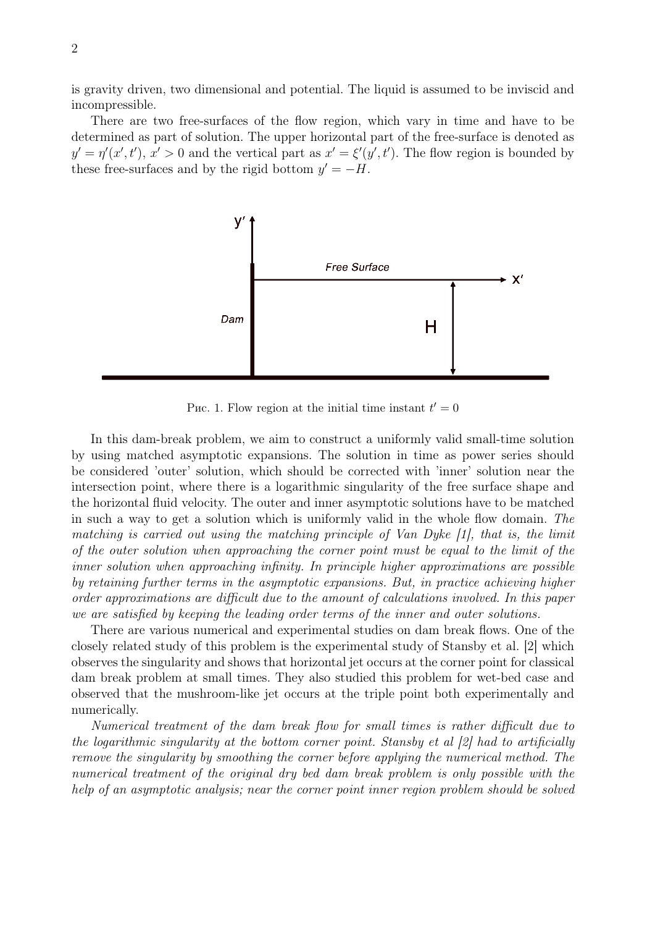is gravity driven, two dimensional and potential. The liquid is assumed to be inviscid and incompressible.

There are two free-surfaces of the flow region, which vary in time and have to be determined as part of solution. The upper horizontal part of the free-surface is denoted as  $y' = \eta'(x', t'), x' > 0$  and the vertical part as  $x' = \xi'(y', t')$ . The flow region is bounded by these free-surfaces and by the rigid bottom  $y' = -H$ .



Puc. 1. Flow region at the initial time instant  $t' = 0$ 

In this dam-break problem, we aim to construct a uniformly valid small-time solution by using matched asymptotic expansions. The solution in time as power series should be considered 'outer' solution, which should be corrected with 'inner' solution near the intersection point, where there is a logarithmic singularity of the free surface shape and the horizontal fluid velocity. The outer and inner asymptotic solutions have to be matched in such a way to get a solution which is uniformly valid in the whole flow domain. *The matching is carried out using the matching principle of Van Dyke [1], that is, the limit of the outer solution when approaching the corner point must be equal to the limit of the inner solution when approaching infinity. In principle higher approximations are possible by retaining further terms in the asymptotic expansions. But, in practice achieving higher order approximations are difficult due to the amount of calculations involved. In this paper we are satisfied by keeping the leading order terms of the inner and outer solutions.*

There are various numerical and experimental studies on dam break flows. One of the closely related study of this problem is the experimental study of Stansby et al. [2] which observes the singularity and shows that horizontal jet occurs at the corner point for classical dam break problem at small times. They also studied this problem for wet-bed case and observed that the mushroom-like jet occurs at the triple point both experimentally and numerically.

*Numerical treatment of the dam break flow for small times is rather difficult due to the logarithmic singularity at the bottom corner point. Stansby et al [2] had to artificially remove the singularity by smoothing the corner before applying the numerical method. The numerical treatment of the original dry bed dam break problem is only possible with the help of an asymptotic analysis; near the corner point inner region problem should be solved*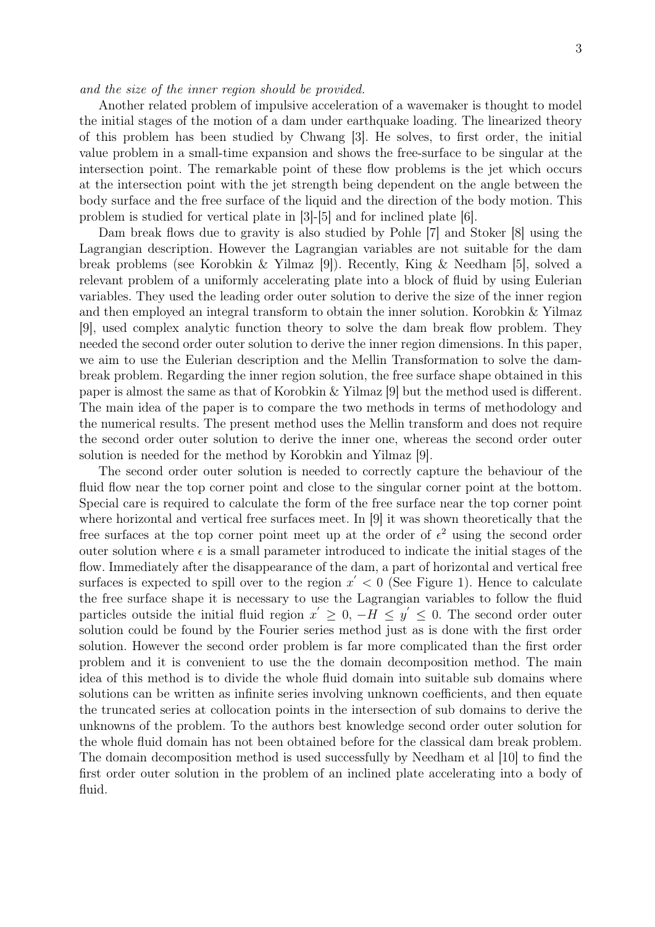#### *and the size of the inner region should be provided.*

Another related problem of impulsive acceleration of a wavemaker is thought to model the initial stages of the motion of a dam under earthquake loading. The linearized theory of this problem has been studied by Chwang [3]. He solves, to first order, the initial value problem in a small-time expansion and shows the free-surface to be singular at the intersection point. The remarkable point of these flow problems is the jet which occurs at the intersection point with the jet strength being dependent on the angle between the body surface and the free surface of the liquid and the direction of the body motion. This problem is studied for vertical plate in [3]-[5] and for inclined plate [6].

Dam break flows due to gravity is also studied by Pohle [7] and Stoker [8] using the Lagrangian description. However the Lagrangian variables are not suitable for the dam break problems (see Korobkin & Yilmaz [9]). Recently, King & Needham [5], solved a relevant problem of a uniformly accelerating plate into a block of fluid by using Eulerian variables. They used the leading order outer solution to derive the size of the inner region and then employed an integral transform to obtain the inner solution. Korobkin & Yilmaz [9], used complex analytic function theory to solve the dam break flow problem. They needed the second order outer solution to derive the inner region dimensions. In this paper, we aim to use the Eulerian description and the Mellin Transformation to solve the dambreak problem. Regarding the inner region solution, the free surface shape obtained in this paper is almost the same as that of Korobkin & Yilmaz [9] but the method used is different. The main idea of the paper is to compare the two methods in terms of methodology and the numerical results. The present method uses the Mellin transform and does not require the second order outer solution to derive the inner one, whereas the second order outer solution is needed for the method by Korobkin and Yilmaz [9].

The second order outer solution is needed to correctly capture the behaviour of the fluid flow near the top corner point and close to the singular corner point at the bottom. Special care is required to calculate the form of the free surface near the top corner point where horizontal and vertical free surfaces meet. In [9] it was shown theoretically that the free surfaces at the top corner point meet up at the order of  $\epsilon^2$  using the second order outer solution where  $\epsilon$  is a small parameter introduced to indicate the initial stages of the flow. Immediately after the disappearance of the dam, a part of horizontal and vertical free surfaces is expected to spill over to the region  $x' < 0$  (See Figure 1). Hence to calculate the free surface shape it is necessary to use the Lagrangian variables to follow the fluid particles outside the initial fluid region  $x' \geq 0$ ,  $-H \leq y' \leq 0$ . The second order outer solution could be found by the Fourier series method just as is done with the first order solution. However the second order problem is far more complicated than the first order problem and it is convenient to use the the domain decomposition method. The main idea of this method is to divide the whole fluid domain into suitable sub domains where solutions can be written as infinite series involving unknown coefficients, and then equate the truncated series at collocation points in the intersection of sub domains to derive the unknowns of the problem. To the authors best knowledge second order outer solution for the whole fluid domain has not been obtained before for the classical dam break problem. The domain decomposition method is used successfully by Needham et al [10] to find the first order outer solution in the problem of an inclined plate accelerating into a body of fluid.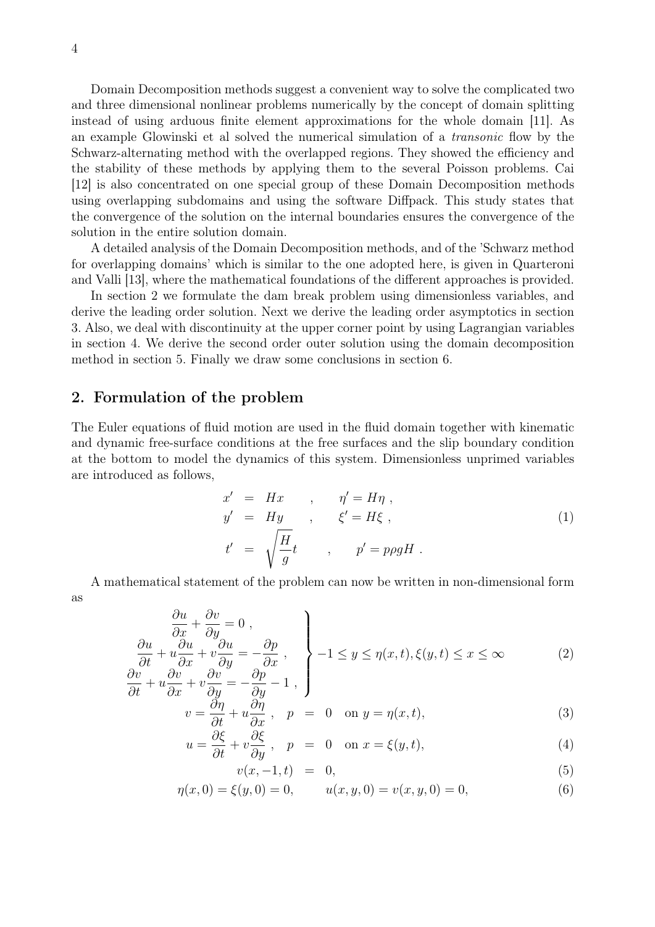Domain Decomposition methods suggest a convenient way to solve the complicated two and three dimensional nonlinear problems numerically by the concept of domain splitting instead of using arduous finite element approximations for the whole domain [11]. As an example Glowinski et al solved the numerical simulation of a *transonic* flow by the Schwarz-alternating method with the overlapped regions. They showed the efficiency and the stability of these methods by applying them to the several Poisson problems. Cai [12] is also concentrated on one special group of these Domain Decomposition methods using overlapping subdomains and using the software Diffpack. This study states that the convergence of the solution on the internal boundaries ensures the convergence of the solution in the entire solution domain.

A detailed analysis of the Domain Decomposition methods, and of the 'Schwarz method for overlapping domains' which is similar to the one adopted here, is given in Quarteroni and Valli [13], where the mathematical foundations of the different approaches is provided.

In section 2 we formulate the dam break problem using dimensionless variables, and derive the leading order solution. Next we derive the leading order asymptotics in section 3. Also, we deal with discontinuity at the upper corner point by using Lagrangian variables in section 4. We derive the second order outer solution using the domain decomposition method in section 5. Finally we draw some conclusions in section 6.

### 2. Formulation of the problem

The Euler equations of fluid motion are used in the fluid domain together with kinematic and dynamic free-surface conditions at the free surfaces and the slip boundary condition at the bottom to model the dynamics of this system. Dimensionless unprimed variables are introduced as follows,

$$
x' = Hx , \quad \eta' = H\eta ,
$$
  
\n
$$
y' = Hy , \quad \xi' = H\xi ,
$$
  
\n
$$
t' = \sqrt{\frac{H}{g}}t , \quad p' = p\rho gH .
$$
  
\n(1)

A mathematical statement of the problem can now be written in non-dimensional form as

$$
\begin{aligned}\n\frac{\partial u}{\partial x} + \frac{\partial v}{\partial y} &= 0, \\
\frac{\partial u}{\partial t} + u \frac{\partial u}{\partial x} + v \frac{\partial u}{\partial y} &= -\frac{\partial p}{\partial x}, \\
\frac{\partial v}{\partial t} + u \frac{\partial v}{\partial x} + v \frac{\partial v}{\partial y} &= -\frac{\partial p}{\partial y} - 1, \\
\end{aligned}\n\bigg\} - 1 \le y \le \eta(x, t), \xi(y, t) \le x \le \infty \tag{2}
$$

$$
\frac{\partial}{\partial x} + v \frac{\partial}{\partial y} = -\frac{\partial p}{\partial y} - 1 ,
$$
\n
$$
v = \frac{\partial \eta}{\partial t} + u \frac{\partial \eta}{\partial x} , \quad p = 0 \quad \text{on } y = \eta(x, t),
$$
\n(3)

$$
u = \frac{\partial \xi}{\partial t} + v \frac{\partial \xi}{\partial y}, \quad p = 0 \quad \text{on } x = \xi(y, t), \tag{4}
$$

$$
v(x, -1, t) = 0,\t(5)
$$

$$
\eta(x,0) = \xi(y,0) = 0, \qquad u(x,y,0) = v(x,y,0) = 0,\tag{6}
$$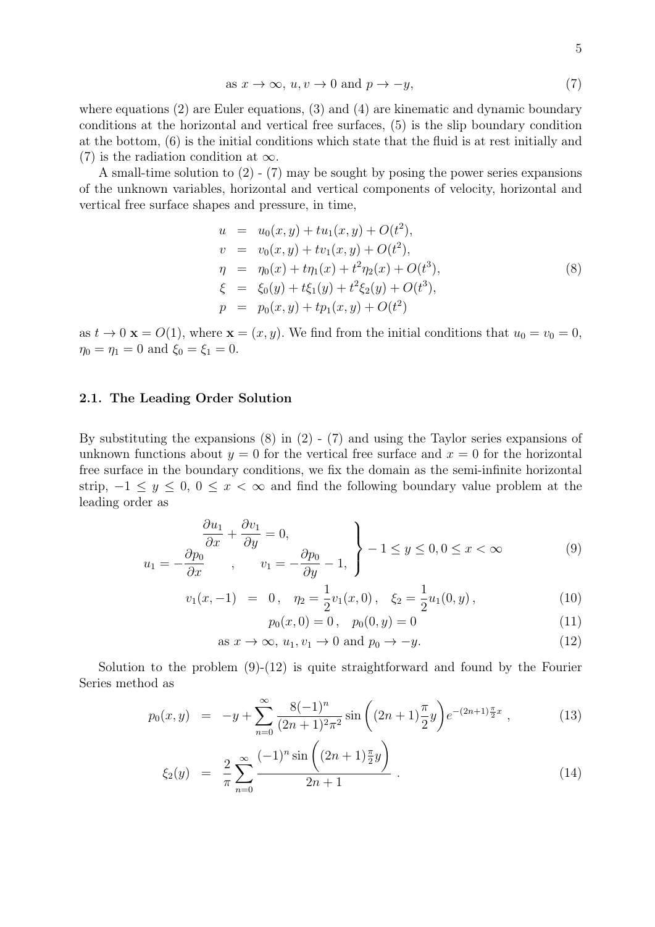as 
$$
x \to \infty
$$
,  $u, v \to 0$  and  $p \to -y$ , 
$$
(7)
$$

where equations (2) are Euler equations, (3) and (4) are kinematic and dynamic boundary conditions at the horizontal and vertical free surfaces, (5) is the slip boundary condition at the bottom, (6) is the initial conditions which state that the fluid is at rest initially and (7) is the radiation condition at *∞*.

A small-time solution to  $(2)$  -  $(7)$  may be sought by posing the power series expansions of the unknown variables, horizontal and vertical components of velocity, horizontal and vertical free surface shapes and pressure, in time,

$$
u = u_0(x, y) + tu_1(x, y) + O(t^2),
$$
  
\n
$$
v = v_0(x, y) + tv_1(x, y) + O(t^2),
$$
  
\n
$$
\eta = \eta_0(x) + t\eta_1(x) + t^2\eta_2(x) + O(t^3),
$$
  
\n
$$
\xi = \xi_0(y) + t\xi_1(y) + t^2\xi_2(y) + O(t^3),
$$
  
\n
$$
p = p_0(x, y) + tp_1(x, y) + O(t^2)
$$
\n(8)

as  $t \to 0$  **x** =  $O(1)$ , where **x** =  $(x, y)$ . We find from the initial conditions that  $u_0 = v_0 = 0$ ,  $\eta_0 = \eta_1 = 0$  and  $\xi_0 = \xi_1 = 0$ .

### 2.1. The Leading Order Solution

By substituting the expansions (8) in (2) - (7) and using the Taylor series expansions of unknown functions about  $y = 0$  for the vertical free surface and  $x = 0$  for the horizontal free surface in the boundary conditions, we fix the domain as the semi-infinite horizontal strip, *−*1 *≤ y ≤* 0, 0 *≤ x < ∞* and find the following boundary value problem at the leading order as

$$
\frac{\partial u_1}{\partial x} + \frac{\partial v_1}{\partial y} = 0,
$$
\n
$$
u_1 = -\frac{\partial p_0}{\partial x}, \qquad v_1 = -\frac{\partial p_0}{\partial y} - 1,
$$
\n
$$
\left\} - 1 \le y \le 0, 0 \le x < \infty
$$
\n(9)

$$
v_1(x,-1) = 0, \quad \eta_2 = \frac{1}{2}v_1(x,0), \quad \xi_2 = \frac{1}{2}u_1(0,y), \tag{10}
$$

 $p_0(x, 0) = 0$ ,  $p_0(0, y) = 0$  (11)

as 
$$
x \to \infty
$$
,  $u_1, v_1 \to 0$  and  $p_0 \to -y$ . (12)

Solution to the problem  $(9)-(12)$  is quite straightforward and found by the Fourier Series method as

$$
p_0(x,y) = -y + \sum_{n=0}^{\infty} \frac{8(-1)^n}{(2n+1)^2 \pi^2} \sin\left((2n+1)\frac{\pi}{2}y\right) e^{-(2n+1)\frac{\pi}{2}x}, \qquad (13)
$$

$$
\xi_2(y) = \frac{2}{\pi} \sum_{n=0}^{\infty} \frac{(-1)^n \sin \left( (2n+1)\frac{\pi}{2}y \right)}{2n+1} \,. \tag{14}
$$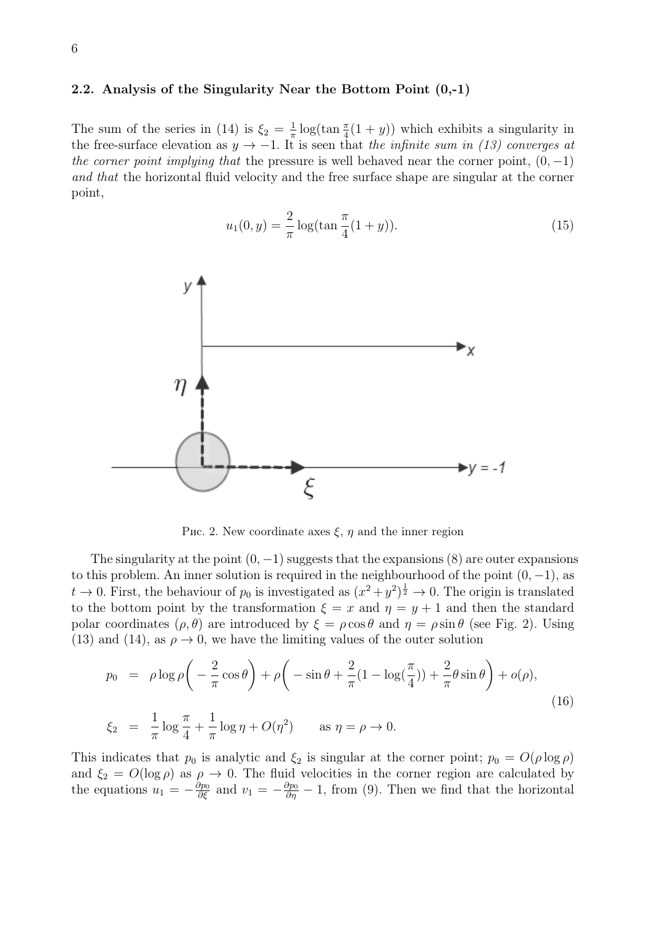#### 2.2. Analysis of the Singularity Near the Bottom Point (0,-1)

The sum of the series in (14) is  $\xi_2 = \frac{1}{\pi}$  $\frac{1}{\pi}$  log(tan  $\frac{\pi}{4}(1+y)$ ) which exhibits a singularity in the free-surface elevation as  $y \rightarrow -1$ . It is seen that *the infinite sum in (13) converges at the corner point implying that* the pressure is well behaved near the corner point,  $(0, -1)$ *and that* the horizontal fluid velocity and the free surface shape are singular at the corner point,

$$
u_1(0, y) = \frac{2}{\pi} \log(\tan \frac{\pi}{4}(1+y)).
$$
\n(15)



Рис. 2. New coordinate axes *ξ*, *η* and the inner region

The singularity at the point (0*, −*1) suggests that the expansions (8) are outer expansions to this problem. An inner solution is required in the neighbourhood of the point (0*, −*1), as  $t \to 0$ . First, the behaviour of  $p_0$  is investigated as  $(x^2 + y^2)^{\frac{1}{2}} \to 0$ . The origin is translated to the bottom point by the transformation  $\xi = x$  and  $\eta = y + 1$  and then the standard polar coordinates  $(\rho, \theta)$  are introduced by  $\xi = \rho \cos \theta$  and  $\eta = \rho \sin \theta$  (see Fig. 2). Using (13) and (14), as  $\rho \rightarrow 0$ , we have the limiting values of the outer solution

$$
p_0 = \rho \log \rho \left( -\frac{2}{\pi} \cos \theta \right) + \rho \left( -\sin \theta + \frac{2}{\pi} (1 - \log(\frac{\pi}{4})) + \frac{2}{\pi} \theta \sin \theta \right) + o(\rho),
$$
  

$$
\xi_2 = \frac{1}{\pi} \log \frac{\pi}{4} + \frac{1}{\pi} \log \eta + O(\eta^2) \qquad \text{as } \eta = \rho \to 0.
$$
 (16)

This indicates that  $p_0$  is analytic and  $\xi_2$  is singular at the corner point;  $p_0 = O(\rho \log \rho)$ and  $\xi_2 = O(\log \rho)$  as  $\rho \to 0$ . The fluid velocities in the corner region are calculated by the equations  $u_1 = -\frac{\partial p_0}{\partial \xi}$  and  $v_1 = -\frac{\partial p_0}{\partial \eta} - 1$ , from (9). Then we find that the horizontal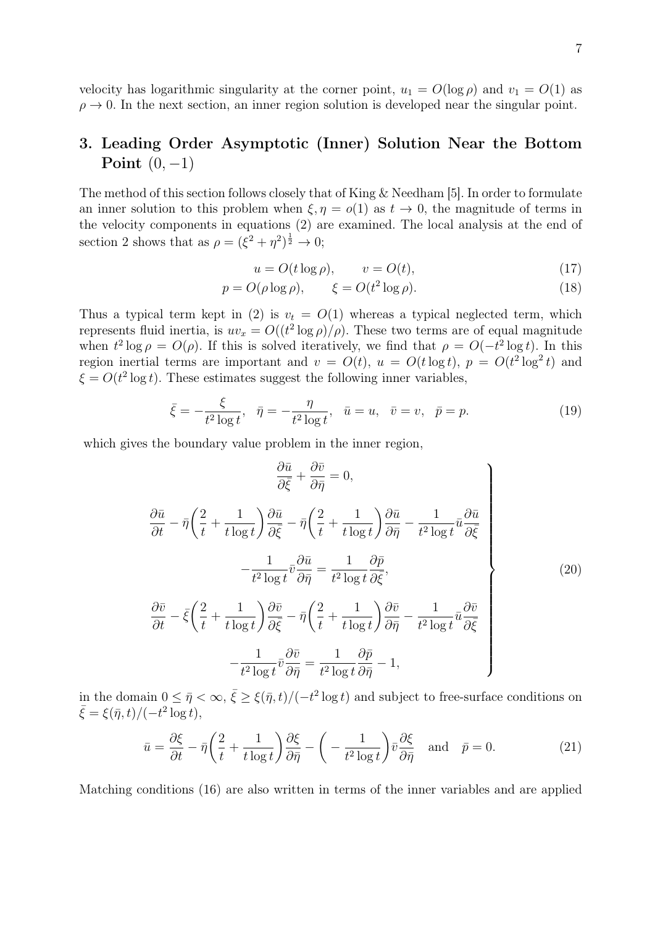velocity has logarithmic singularity at the corner point,  $u_1 = O(\log \rho)$  and  $v_1 = O(1)$  as  $\rho \rightarrow 0$ . In the next section, an inner region solution is developed near the singular point.

# 3. Leading Order Asymptotic (Inner) Solution Near the Bottom Point (0*, −*1)

The method of this section follows closely that of King & Needham [5]. In order to formulate an inner solution to this problem when  $\xi, \eta = o(1)$  as  $t \to 0$ , the magnitude of terms in the velocity components in equations (2) are examined. The local analysis at the end of section 2 shows that as  $\rho = (\xi^2 + \eta^2)^{\frac{1}{2}} \to 0;$ 

$$
u = O(t \log \rho), \qquad v = O(t), \tag{17}
$$

$$
p = O(\rho \log \rho), \qquad \xi = O(t^2 \log \rho). \tag{18}
$$

Thus a typical term kept in (2) is  $v_t = O(1)$  whereas a typical neglected term, which represents fluid inertia, is  $uv_x = O((t^2 \log \rho)/\rho)$ . These two terms are of equal magnitude when  $t^2 \log \rho = O(\rho)$ . If this is solved iteratively, we find that  $\rho = O(-t^2 \log t)$ . In this region inertial terms are important and  $v = O(t)$ ,  $u = O(t \log t)$ ,  $p = O(t^2 \log^2 t)$  and  $\xi = O(t^2 \log t)$ . These estimates suggest the following inner variables,

$$
\bar{\xi} = -\frac{\xi}{t^2 \log t}, \quad \bar{\eta} = -\frac{\eta}{t^2 \log t}, \quad \bar{u} = u, \quad \bar{v} = v, \quad \bar{p} = p. \tag{19}
$$

which gives the boundary value problem in the inner region,

$$
\frac{\partial \bar{u}}{\partial \bar{\xi}} + \frac{\partial \bar{v}}{\partial \bar{\eta}} = 0,
$$
\n
$$
\frac{\partial \bar{u}}{\partial t} - \bar{\eta} \left( \frac{2}{t} + \frac{1}{t \log t} \right) \frac{\partial \bar{u}}{\partial \bar{\xi}} - \bar{\eta} \left( \frac{2}{t} + \frac{1}{t \log t} \right) \frac{\partial \bar{u}}{\partial \bar{\eta}} - \frac{1}{t^2 \log t} \bar{u} \frac{\partial \bar{u}}{\partial \bar{\xi}} - \frac{1}{t^2 \log t} \bar{v} \frac{\partial \bar{u}}{\partial \bar{\eta}} = \frac{1}{t^2 \log t} \frac{\partial \bar{p}}{\partial \bar{\xi}},
$$
\n
$$
\frac{\partial \bar{v}}{\partial t} - \bar{\xi} \left( \frac{2}{t} + \frac{1}{t \log t} \right) \frac{\partial \bar{v}}{\partial \bar{\xi}} - \bar{\eta} \left( \frac{2}{t} + \frac{1}{t \log t} \right) \frac{\partial \bar{v}}{\partial \bar{\eta}} - \frac{1}{t^2 \log t} \bar{u} \frac{\partial \bar{v}}{\partial \bar{\xi}} - \frac{1}{t^2 \log t} \bar{v} \frac{\partial \bar{v}}{\partial \bar{\eta}} = \frac{1}{t^2 \log t} \frac{\partial \bar{p}}{\partial \bar{\eta}} - 1,
$$
\n(20)

in the domain  $0 \leq \bar{\eta} < \infty$ ,  $\bar{\xi} \geq \xi(\bar{\eta}, t) / (-t^2 \log t)$  and subject to free-surface conditions on  $\bar{\xi} = \xi(\bar{\eta}, t) / (-t^2 \log t),$ 

$$
\bar{u} = \frac{\partial \xi}{\partial t} - \bar{\eta} \left( \frac{2}{t} + \frac{1}{t \log t} \right) \frac{\partial \xi}{\partial \bar{\eta}} - \left( -\frac{1}{t^2 \log t} \right) \bar{v} \frac{\partial \xi}{\partial \bar{\eta}} \quad \text{and} \quad \bar{p} = 0. \tag{21}
$$

Matching conditions (16) are also written in terms of the inner variables and are applied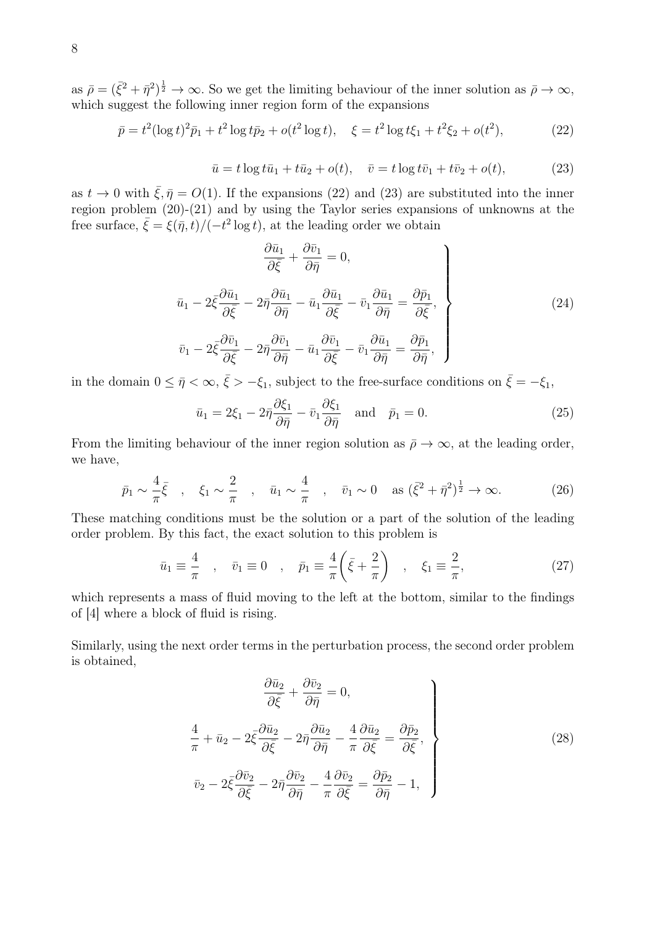as  $\bar{\rho} = (\bar{\xi}^2 + \bar{\eta}^2)^{\frac{1}{2}} \to \infty$ . So we get the limiting behaviour of the inner solution as  $\bar{\rho} \to \infty$ , which suggest the following inner region form of the expansions

$$
\bar{p} = t^2 (\log t)^2 \bar{p}_1 + t^2 \log t \bar{p}_2 + o(t^2 \log t), \quad \xi = t^2 \log t \xi_1 + t^2 \xi_2 + o(t^2), \tag{22}
$$

$$
\bar{u} = t \log t \bar{u}_1 + t \bar{u}_2 + o(t), \quad \bar{v} = t \log t \bar{v}_1 + t \bar{v}_2 + o(t), \tag{23}
$$

as  $t \to 0$  with  $\bar{\xi}, \bar{\eta} = O(1)$ . If the expansions (22) and (23) are substituted into the inner region problem (20)-(21) and by using the Taylor series expansions of unknowns at the free surface,  $\bar{\xi} = \xi(\bar{\eta}, t) / (-t^2 \log t)$ , at the leading order we obtain

$$
\frac{\partial \bar{u}_1}{\partial \bar{\xi}} + \frac{\partial \bar{v}_1}{\partial \bar{\eta}} = 0,
$$
\n
$$
\bar{u}_1 - 2\bar{\xi} \frac{\partial \bar{u}_1}{\partial \bar{\xi}} - 2\bar{\eta} \frac{\partial \bar{u}_1}{\partial \bar{\eta}} - \bar{u}_1 \frac{\partial \bar{u}_1}{\partial \bar{\xi}} - \bar{v}_1 \frac{\partial \bar{u}_1}{\partial \bar{\eta}} = \frac{\partial \bar{p}_1}{\partial \bar{\xi}},
$$
\n
$$
\bar{v}_1 - 2\bar{\xi} \frac{\partial \bar{v}_1}{\partial \bar{\xi}} - 2\bar{\eta} \frac{\partial \bar{v}_1}{\partial \bar{\eta}} - \bar{u}_1 \frac{\partial \bar{v}_1}{\partial \bar{\xi}} - \bar{v}_1 \frac{\partial \bar{u}_1}{\partial \bar{\eta}} = \frac{\partial \bar{p}_1}{\partial \bar{\eta}},
$$
\n(24)

in the domain  $0 \leq \bar{\eta} < \infty$ ,  $\bar{\xi} > -\xi_1$ , subject to the free-surface conditions on  $\bar{\xi} = -\xi_1$ ,

$$
\bar{u}_1 = 2\xi_1 - 2\bar{\eta}\frac{\partial \xi_1}{\partial \bar{\eta}} - \bar{v}_1 \frac{\partial \xi_1}{\partial \bar{\eta}} \quad \text{and} \quad \bar{p}_1 = 0. \tag{25}
$$

From the limiting behaviour of the inner region solution as  $\bar{\rho} \to \infty$ , at the leading order, we have,

$$
\bar{p}_1 \sim \frac{4}{\pi} \bar{\xi} \quad , \quad \xi_1 \sim \frac{2}{\pi} \quad , \quad \bar{u}_1 \sim \frac{4}{\pi} \quad , \quad \bar{v}_1 \sim 0 \quad \text{as } (\bar{\xi}^2 + \bar{\eta}^2)^{\frac{1}{2}} \to \infty.
$$
 (26)

These matching conditions must be the solution or a part of the solution of the leading order problem. By this fact, the exact solution to this problem is

$$
\bar{u}_1 \equiv \frac{4}{\pi} , \quad \bar{v}_1 \equiv 0 , \quad \bar{p}_1 \equiv \frac{4}{\pi} \left( \bar{\xi} + \frac{2}{\pi} \right) , \quad \xi_1 \equiv \frac{2}{\pi},
$$
\n(27)

which represents a mass of fluid moving to the left at the bottom, similar to the findings of [4] where a block of fluid is rising.

Similarly, using the next order terms in the perturbation process, the second order problem is obtained,

$$
\frac{\partial \bar{u}_2}{\partial \bar{\xi}} + \frac{\partial \bar{v}_2}{\partial \bar{\eta}} = 0,
$$
\n
$$
\frac{4}{\pi} + \bar{u}_2 - 2\bar{\xi}\frac{\partial \bar{u}_2}{\partial \bar{\xi}} - 2\bar{\eta}\frac{\partial \bar{u}_2}{\partial \bar{\eta}} - \frac{4}{\pi}\frac{\partial \bar{u}_2}{\partial \bar{\xi}} = \frac{\partial \bar{p}_2}{\partial \bar{\xi}},
$$
\n
$$
\bar{v}_2 - 2\bar{\xi}\frac{\partial \bar{v}_2}{\partial \bar{\xi}} - 2\bar{\eta}\frac{\partial \bar{v}_2}{\partial \bar{\eta}} - \frac{4}{\pi}\frac{\partial \bar{v}_2}{\partial \bar{\xi}} = \frac{\partial \bar{p}_2}{\partial \bar{\eta}} - 1,
$$
\n(28)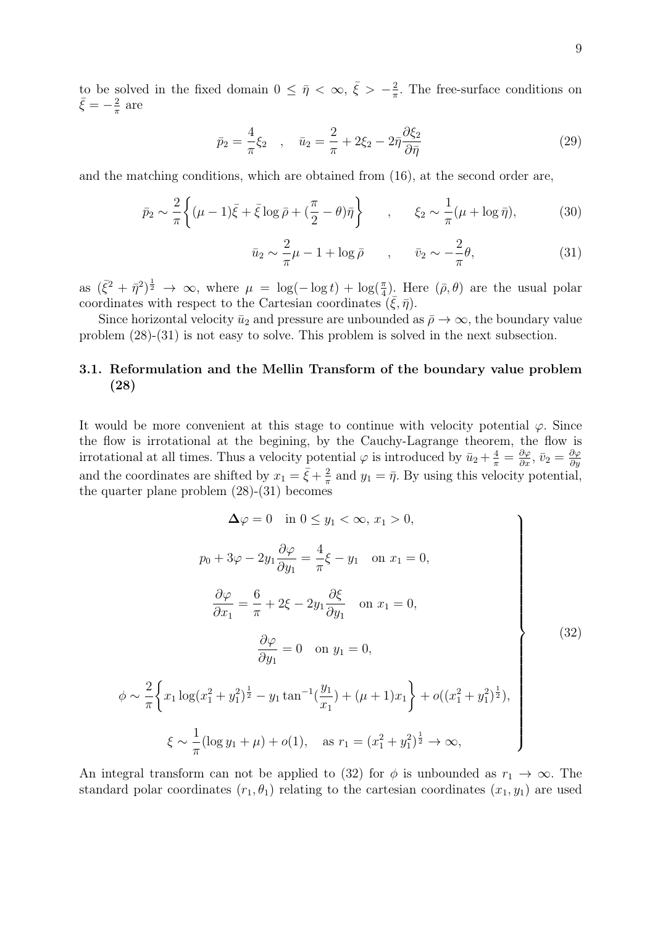to be solved in the fixed domain  $0 \leq \bar{\eta} < \infty$ ,  $\bar{\xi} > -\frac{2}{\pi}$  $\frac{2}{\pi}$ . The free-surface conditions on  $\bar{\xi} = -\frac{2}{\pi}$  $\frac{2}{\pi}$  are

$$
\bar{p}_2 = \frac{4}{\pi} \xi_2 , \quad \bar{u}_2 = \frac{2}{\pi} + 2\xi_2 - 2\bar{\eta} \frac{\partial \xi_2}{\partial \bar{\eta}}
$$
\n(29)

and the matching conditions, which are obtained from (16), at the second order are,

$$
\bar{p}_2 \sim \frac{2}{\pi} \left\{ (\mu - 1)\bar{\xi} + \bar{\xi} \log \bar{\rho} + (\frac{\pi}{2} - \theta)\bar{\eta} \right\} \qquad , \qquad \xi_2 \sim \frac{1}{\pi} (\mu + \log \bar{\eta}), \tag{30}
$$

$$
\bar{u}_2 \sim \frac{2}{\pi}\mu - 1 + \log \bar{\rho} \qquad , \qquad \bar{v}_2 \sim -\frac{2}{\pi}\theta, \tag{31}
$$

as  $(\bar{\xi}^2 + \bar{\eta}^2)^{\frac{1}{2}} \to \infty$ , where  $\mu = \log(-\log t) + \log(\frac{\pi}{4})$ . Here  $(\bar{\rho}, \theta)$  are the usual polar coordinates with respect to the Cartesian coordinates  $(\bar{\xi}, \bar{\eta})$ .

Since horizontal velocity  $\bar{u}_2$  and pressure are unbounded as  $\bar{\rho} \to \infty$ , the boundary value problem (28)-(31) is not easy to solve. This problem is solved in the next subsection.

# 3.1. Reformulation and the Mellin Transform of the boundary value problem (28)

It would be more convenient at this stage to continue with velocity potential  $\varphi$ . Since the flow is irrotational at the begining, by the Cauchy-Lagrange theorem, the flow is irrotational at all times. Thus a velocity potential  $\varphi$  is introduced by  $\bar{u}_2 + \frac{4}{\pi} = \frac{\partial \varphi}{\partial x}$ ,  $\bar{v}_2 = \frac{\partial \varphi}{\partial y}$ *∂y* and the coordinates are shifted by  $x_1 = \bar{\xi} + \frac{2}{\pi}$  $\frac{2}{\pi}$  and  $y_1 = \bar{\eta}$ . By using this velocity potential, the quarter plane problem (28)-(31) becomes

$$
\Delta \varphi = 0 \text{ in } 0 \le y_1 < \infty, x_1 > 0,
$$
  
\n
$$
p_0 + 3\varphi - 2y_1 \frac{\partial \varphi}{\partial y_1} = \frac{4}{\pi} \xi - y_1 \text{ on } x_1 = 0,
$$
  
\n
$$
\frac{\partial \varphi}{\partial x_1} = \frac{6}{\pi} + 2\xi - 2y_1 \frac{\partial \xi}{\partial y_1} \text{ on } x_1 = 0,
$$
  
\n
$$
\frac{\partial \varphi}{\partial y_1} = 0 \text{ on } y_1 = 0,
$$
  
\n
$$
\frac{2}{\pi} \left\{ x_1 \log(x_1^2 + y_1^2)^{\frac{1}{2}} - y_1 \tan^{-1}(\frac{y_1}{x_1}) + (\mu + 1)x_1 \right\} + o((x_1^2 + y_1^2)^{\frac{1}{2}}),
$$
  
\n
$$
\xi \sim \frac{1}{\pi} (\log y_1 + \mu) + o(1), \text{ as } r_1 = (x_1^2 + y_1^2)^{\frac{1}{2}} \to \infty,
$$
  
\n(32)

An integral transform can not be applied to (32) for  $\phi$  is unbounded as  $r_1 \to \infty$ . The standard polar coordinates  $(r_1, \theta_1)$  relating to the cartesian coordinates  $(x_1, y_1)$  are used

*ϕ ∼*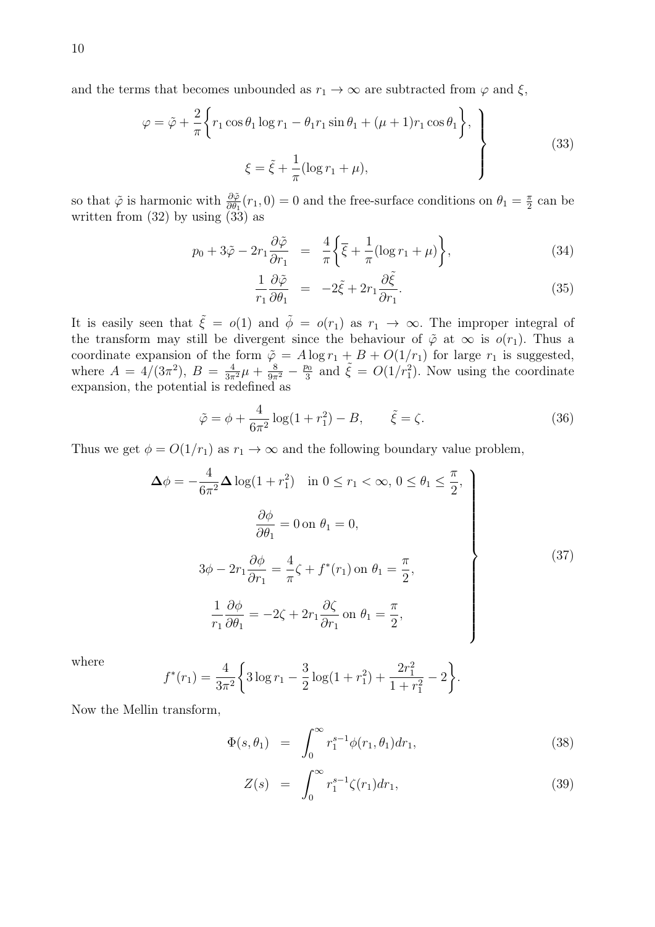$$
\varphi = \tilde{\varphi} + \frac{2}{\pi} \left\{ r_1 \cos \theta_1 \log r_1 - \theta_1 r_1 \sin \theta_1 + (\mu + 1) r_1 \cos \theta_1 \right\},\
$$
  

$$
\xi = \tilde{\xi} + \frac{1}{\pi} (\log r_1 + \mu),
$$
 (33)

so that  $\tilde{\varphi}$  is harmonic with  $\frac{\partial \tilde{\varphi}}{\partial \theta_1}(r_1, 0) = 0$  and the free-surface conditions on  $\theta_1 = \frac{\pi}{2}$  $\frac{\pi}{2}$  can be written from  $(32)$  by using  $(33)$  as

$$
p_0 + 3\tilde{\varphi} - 2r_1 \frac{\partial \tilde{\varphi}}{\partial r_1} = \frac{4}{\pi} \left\{ \overline{\xi} + \frac{1}{\pi} (\log r_1 + \mu) \right\},\tag{34}
$$

$$
\frac{1}{r_1} \frac{\partial \tilde{\varphi}}{\partial \theta_1} = -2\tilde{\xi} + 2r_1 \frac{\partial \tilde{\xi}}{\partial r_1}.
$$
\n(35)

It is easily seen that  $\tilde{\xi} = o(1)$  and  $\tilde{\phi} = o(r_1)$  as  $r_1 \to \infty$ . The improper integral of the transform may still be divergent since the behaviour of  $\tilde{\varphi}$  at  $\infty$  is  $o(r_1)$ . Thus a coordinate expansion of the form  $\tilde{\varphi} = A \log r_1 + B + O(1/r_1)$  for large  $r_1$  is suggested, where  $A = 4/(3\pi^2)$ ,  $B = \frac{4}{3\pi^2}\mu + \frac{8}{9\pi^2} - \frac{p_0}{3}$  $\frac{p_0}{3}$  and  $\tilde{\xi} = O(1/r_1^2)$ . Now using the coordinate expansion, the potential is redefined as

$$
\tilde{\varphi} = \phi + \frac{4}{6\pi^2} \log(1 + r_1^2) - B, \qquad \tilde{\xi} = \zeta.
$$
\n(36)

Thus we get  $\phi = O(1/r_1)$  as  $r_1 \to \infty$  and the following boundary value problem,

$$
\Delta \phi = -\frac{4}{6\pi^2} \Delta \log(1 + r_1^2) \quad \text{in } 0 \le r_1 < \infty, \ 0 \le \theta_1 \le \frac{\pi}{2},
$$
\n
$$
\frac{\partial \phi}{\partial \theta_1} = 0 \text{ on } \theta_1 = 0,
$$
\n
$$
3\phi - 2r_1 \frac{\partial \phi}{\partial r_1} = \frac{4}{\pi} \zeta + f^*(r_1) \text{ on } \theta_1 = \frac{\pi}{2},
$$
\n
$$
\frac{1}{r_1} \frac{\partial \phi}{\partial \theta_1} = -2\zeta + 2r_1 \frac{\partial \zeta}{\partial r_1} \text{ on } \theta_1 = \frac{\pi}{2},
$$
\n(37)

where

$$
f^*(r_1) = \frac{4}{3\pi^2} \left\{ 3\log r_1 - \frac{3}{2}\log(1+r_1^2) + \frac{2r_1^2}{1+r_1^2} - 2 \right\}.
$$

Now the Mellin transform,

$$
\Phi(s,\theta_1) = \int_0^\infty r_1^{s-1} \phi(r_1,\theta_1) dr_1,\tag{38}
$$

$$
Z(s) = \int_0^\infty r_1^{s-1} \zeta(r_1) dr_1,
$$
\n(39)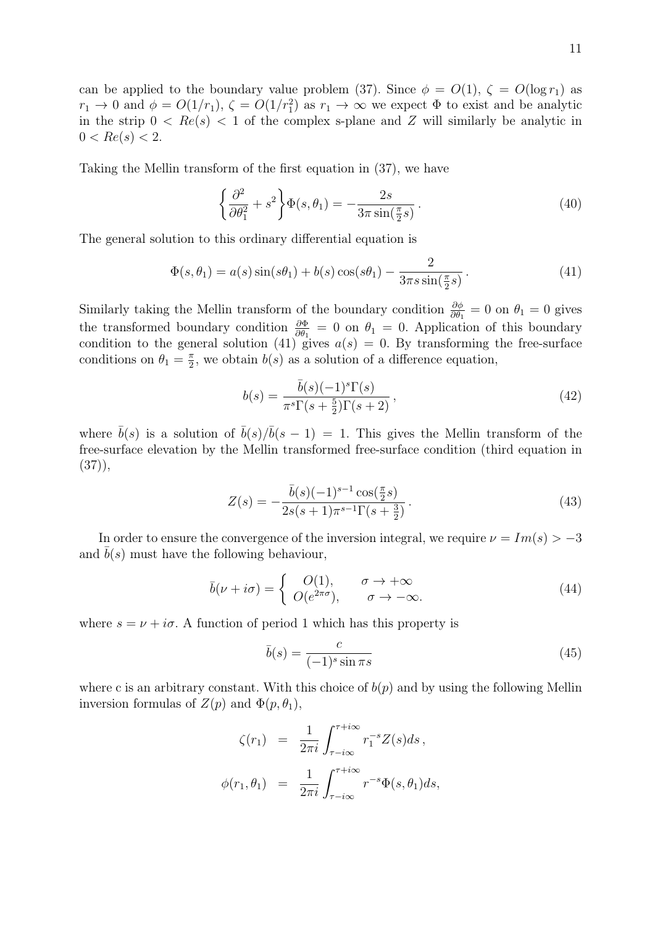can be applied to the boundary value problem (37). Since  $\phi = O(1)$ ,  $\zeta = O(\log r_1)$  as  $r_1 \to 0$  and  $\phi = O(1/r_1)$ ,  $\zeta = O(1/r_1^2)$  as  $r_1 \to \infty$  we expect  $\Phi$  to exist and be analytic in the strip  $0 < Re(s) < 1$  of the complex s-plane and Z will similarly be analytic in  $0 < Re(s) < 2.$ 

Taking the Mellin transform of the first equation in (37), we have

$$
\left\{\frac{\partial^2}{\partial \theta_1^2} + s^2\right\} \Phi(s, \theta_1) = -\frac{2s}{3\pi \sin(\frac{\pi}{2}s)}.
$$
\n(40)

The general solution to this ordinary differential equation is

$$
\Phi(s,\theta_1) = a(s)\sin(s\theta_1) + b(s)\cos(s\theta_1) - \frac{2}{3\pi s \sin(\frac{\pi}{2}s)}.
$$
\n(41)

Similarly taking the Mellin transform of the boundary condition  $\frac{\partial \phi}{\partial \theta_1} = 0$  on  $\theta_1 = 0$  gives the transformed boundary condition  $\frac{\partial \Phi}{\partial \theta_1} = 0$  on  $\theta_1 = 0$ . Application of this boundary condition to the general solution (41) gives  $a(s) = 0$ . By transforming the free-surface conditions on  $\theta_1 = \frac{\pi}{2}$  $\frac{\pi}{2}$ , we obtain  $b(s)$  as a solution of a difference equation,

$$
b(s) = \frac{\bar{b}(s)(-1)^s \Gamma(s)}{\pi^s \Gamma(s + \frac{5}{2}) \Gamma(s + 2)},
$$
\n
$$
(42)
$$

where  $\bar{b}(s)$  is a solution of  $\bar{b}(s)/\bar{b}(s-1) = 1$ . This gives the Mellin transform of the free-surface elevation by the Mellin transformed free-surface condition (third equation in  $(37)$ ,

$$
Z(s) = -\frac{\bar{b}(s)(-1)^{s-1}\cos(\frac{\pi}{2}s)}{2s(s+1)\pi^{s-1}\Gamma(s+\frac{3}{2})}.
$$
\n(43)

In order to ensure the convergence of the inversion integral, we require  $\nu = Im(s) > -3$ and  $b(s)$  must have the following behaviour,

$$
\bar{b}(\nu + i\sigma) = \begin{cases}\nO(1), & \sigma \to +\infty \\
O(e^{2\pi\sigma}), & \sigma \to -\infty.\n\end{cases}
$$
\n(44)

where  $s = \nu + i\sigma$ . A function of period 1 which has this property is

$$
\bar{b}(s) = \frac{c}{(-1)^s \sin \pi s} \tag{45}
$$

where c is an arbitrary constant. With this choice of  $b(p)$  and by using the following Mellin inversion formulas of  $Z(p)$  and  $\Phi(p, \theta_1)$ ,

$$
\zeta(r_1) = \frac{1}{2\pi i} \int_{\tau - i\infty}^{\tau + i\infty} r_1^{-s} Z(s) ds,
$$
  

$$
\phi(r_1, \theta_1) = \frac{1}{2\pi i} \int_{\tau - i\infty}^{\tau + i\infty} r^{-s} \Phi(s, \theta_1) ds,
$$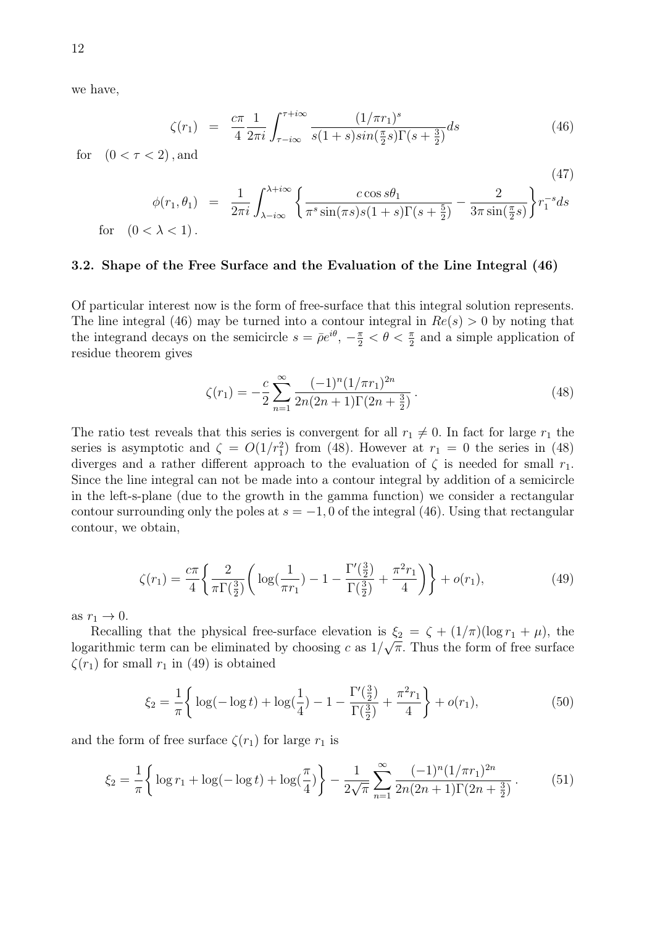we have,

$$
\zeta(r_1) = \frac{c\pi}{4} \frac{1}{2\pi i} \int_{\tau - i\infty}^{\tau + i\infty} \frac{(1/\pi r_1)^s}{s(1+s)\sin(\frac{\pi}{2}s)\Gamma(s+\frac{3}{2})} ds \tag{46}
$$

for  $(0 < \tau < 2)$ , and

(47)  
\n
$$
\phi(r_1, \theta_1) = \frac{1}{2\pi i} \int_{\lambda - i\infty}^{\lambda + i\infty} \left\{ \frac{c \cos s\theta_1}{\pi^s \sin(\pi s) s (1+s) \Gamma(s+\frac{5}{2})} - \frac{2}{3\pi \sin(\frac{\pi}{2}s)} \right\} r_1^{-s} ds
$$
\nfor  $(0 < \lambda < 1)$ .

#### 3.2. Shape of the Free Surface and the Evaluation of the Line Integral (46)

Of particular interest now is the form of free-surface that this integral solution represents. The line integral (46) may be turned into a contour integral in  $Re(s) > 0$  by noting that the integrand decays on the semicircle  $s = \bar{\rho}e^{i\theta}$ ,  $-\frac{\pi}{2} < \theta < \frac{\pi}{2}$  and a simple application of residue theorem gives

$$
\zeta(r_1) = -\frac{c}{2} \sum_{n=1}^{\infty} \frac{(-1)^n (1/\pi r_1)^{2n}}{2n(2n+1)\Gamma(2n+\frac{3}{2})}.
$$
\n(48)

The ratio test reveals that this series is convergent for all  $r_1 \neq 0$ . In fact for large  $r_1$  the series is asymptotic and  $\zeta = O(1/r_1^2)$  from (48). However at  $r_1 = 0$  the series in (48) diverges and a rather different approach to the evaluation of  $\zeta$  is needed for small  $r_1$ . Since the line integral can not be made into a contour integral by addition of a semicircle in the left-s-plane (due to the growth in the gamma function) we consider a rectangular contour surrounding only the poles at  $s = -1, 0$  of the integral (46). Using that rectangular contour, we obtain,

$$
\zeta(r_1) = \frac{c\pi}{4} \left\{ \frac{2}{\pi \Gamma(\frac{3}{2})} \left( \log(\frac{1}{\pi r_1}) - 1 - \frac{\Gamma(\frac{3}{2})}{\Gamma(\frac{3}{2})} + \frac{\pi^2 r_1}{4} \right) \right\} + o(r_1),\tag{49}
$$

as  $r_1 \rightarrow 0$ .

Recalling that the physical free-surface elevation is  $\xi_2 = \zeta + (1/\pi)(\log r_1 + \mu)$ , the logarithmic term can be eliminated by choosing *c* as  $1/\sqrt{\pi}$ . Thus the form of free surface  $\zeta(r_1)$  for small  $r_1$  in (49) is obtained

$$
\xi_2 = \frac{1}{\pi} \left\{ \log(-\log t) + \log(\frac{1}{4}) - 1 - \frac{\Gamma(\frac{3}{2})}{\Gamma(\frac{3}{2})} + \frac{\pi^2 r_1}{4} \right\} + o(r_1),\tag{50}
$$

and the form of free surface  $\zeta(r_1)$  for large  $r_1$  is

$$
\xi_2 = \frac{1}{\pi} \left\{ \log r_1 + \log(-\log t) + \log(\frac{\pi}{4}) \right\} - \frac{1}{2\sqrt{\pi}} \sum_{n=1}^{\infty} \frac{(-1)^n (1/\pi r_1)^{2n}}{2n(2n+1)\Gamma(2n+\frac{3}{2})}.
$$
(51)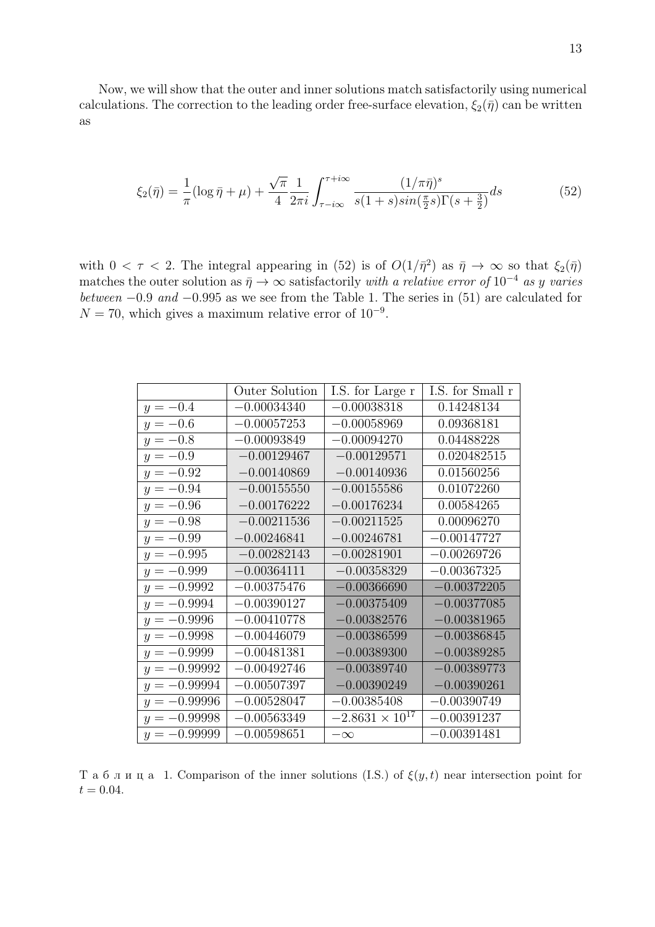Now, we will show that the outer and inner solutions match satisfactorily using numerical calculations. The correction to the leading order free-surface elevation,  $\xi_2(\bar{\eta})$  can be written as

$$
\xi_2(\bar{\eta}) = \frac{1}{\pi} (\log \bar{\eta} + \mu) + \frac{\sqrt{\pi}}{4} \frac{1}{2\pi i} \int_{\tau - i\infty}^{\tau + i\infty} \frac{(1/\pi \bar{\eta})^s}{s(1+s)\sin(\frac{\pi}{2}s)\Gamma(s+\frac{3}{2})} ds
$$
(52)

with  $0 < \tau < 2$ . The integral appearing in (52) is of  $O(1/\bar{\eta}^2)$  as  $\bar{\eta} \to \infty$  so that  $\xi_2(\bar{\eta})$ matches the outer solution as  $\bar{\eta} \rightarrow \infty$  satisfactorily *with a relative error of* 10<sup>−4</sup> *as y varies between −*0*.*9 *and −*0*.*995 as we see from the Table 1. The series in (51) are calculated for *N* = 70, which gives a maximum relative error of 10<sup>-9</sup>.

|                | Outer Solution | I.S. for Large r         | I.S. for Small r |
|----------------|----------------|--------------------------|------------------|
| $y = -0.4$     | $-0.00034340$  | $-0.00038318$            | 0.14248134       |
| $y = -0.6$     | $-0.00057253$  | $-0.00058969$            | 0.09368181       |
| $y = -0.8$     | $-0.00093849$  | $-0.00094270$            | 0.04488228       |
| $y = -0.9$     | $-0.00129467$  | $-0.00129571$            | 0.020482515      |
| $y = -0.92$    | $-0.00140869$  | $-0.00140936$            | 0.01560256       |
| $y = -0.94$    | $-0.00155550$  | $-0.00155586$            | 0.01072260       |
| $y = -0.96$    | $-0.00176222$  | $-0.00176234$            | 0.00584265       |
| $y = -0.98$    | $-0.00211536$  | $-0.00211525$            | 0.00096270       |
| $y = -0.99$    | $-0.00246841$  | $-0.00246781$            | $-0.00147727$    |
| $y = -0.995$   | $-0.00282143$  | $-0.00281901$            | $-0.00269726$    |
| $y = -0.999$   | $-0.00364111$  | $-0.00358329$            | $-0.00367325$    |
| $y = -0.9992$  | $-0.00375476$  | $-0.00366690$            | $-0.00372205$    |
| $y = -0.9994$  | $-0.00390127$  | $-0.00375409$            | $-0.00377085$    |
| $y = -0.9996$  | $-0.00410778$  | $-0.00382576$            | $-0.00381965$    |
| $y = -0.9998$  | $-0.00446079$  | $-0.00386599$            | $-0.00386845$    |
| $y = -0.9999$  | $-0.00481381$  | $-0.00389300$            | $-0.00389285$    |
| $y = -0.99992$ | $-0.00492746$  | $-0.00389740$            | $-0.00389773$    |
| $y = -0.99994$ | $-0.00507397$  | $-0.00390249$            | $-0.00390261$    |
| $y = -0.99996$ | $-0.00528047$  | $-0.00385408$            | $-0.00390749$    |
| $y = -0.99998$ | $-0.00563349$  | $-2.8631 \times 10^{17}$ | $-0.00391237$    |
| $y = -0.99999$ | $-0.00598651$  | $-\infty$                | $-0.00391481$    |

Т а б л и ц а 1. Comparison of the inner solutions (I.S.) of *ξ*(*y, t*) near intersection point for  $t = 0.04$ .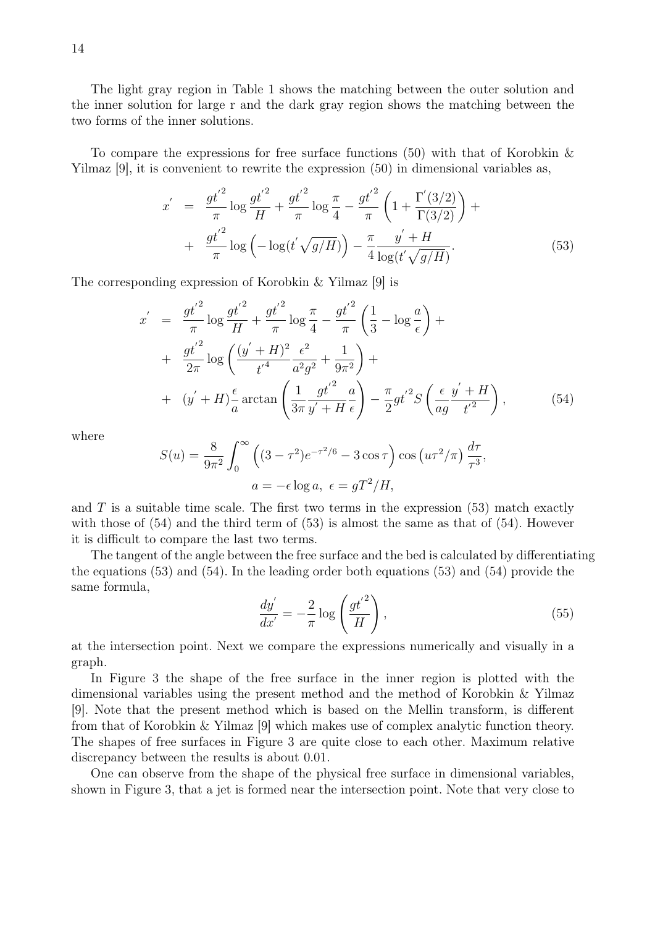The light gray region in Table 1 shows the matching between the outer solution and the inner solution for large r and the dark gray region shows the matching between the two forms of the inner solutions.

To compare the expressions for free surface functions (50) with that of Korobkin  $\&$ Yilmaz [9], it is convenient to rewrite the expression (50) in dimensional variables as,

$$
x' = \frac{gt'^2}{\pi} \log \frac{gt'^2}{H} + \frac{gt'^2}{\pi} \log \frac{\pi}{4} - \frac{gt'^2}{\pi} \left(1 + \frac{\Gamma'(3/2)}{\Gamma(3/2)}\right) + \frac{gt'^2}{\pi} \log \left(-\log(t'\sqrt{g/H})\right) - \frac{\pi}{4} \frac{y' + H}{\log(t'\sqrt{g/H})}.
$$
(53)

The corresponding expression of Korobkin & Yilmaz [9] is

$$
x' = \frac{gt'^2}{\pi} \log \frac{{gt'}^2}{H} + \frac{{gt'}^2}{\pi} \log \frac{\pi}{4} - \frac{{gt'}^2}{\pi} \left(\frac{1}{3} - \log \frac{a}{\epsilon}\right) +
$$
  
+ 
$$
\frac{{gt'}^2}{2\pi} \log \left(\frac{(y' + H)^2}{t'^4} \frac{\epsilon^2}{a^2 g^2} + \frac{1}{9\pi^2}\right) +
$$
  
+ 
$$
(y' + H)\frac{\epsilon}{a} \arctan \left(\frac{1}{3\pi} \frac{{gt'}^2}{y' + H} \frac{a}{\epsilon}\right) - \frac{\pi}{2}gt'^2 S \left(\frac{\epsilon}{ag} \frac{y' + H}{t'^2}\right),
$$
(54)

where

$$
S(u) = \frac{8}{9\pi^2} \int_0^{\infty} \left( (3 - \tau^2)e^{-\tau^2/6} - 3\cos\tau \right) \cos\left(u\tau^2/\pi\right) \frac{d\tau}{\tau^3},
$$
  

$$
a = -\epsilon \log a, \ \epsilon = gT^2/H,
$$

and  $T$  is a suitable time scale. The first two terms in the expression  $(53)$  match exactly with those of  $(54)$  and the third term of  $(53)$  is almost the same as that of  $(54)$ . However it is difficult to compare the last two terms.

The tangent of the angle between the free surface and the bed is calculated by differentiating the equations (53) and (54). In the leading order both equations (53) and (54) provide the same formula,

$$
\frac{dy'}{dx'} = -\frac{2}{\pi} \log \left( \frac{gt'^2}{H} \right),\tag{55}
$$

at the intersection point. Next we compare the expressions numerically and visually in a graph.

In Figure 3 the shape of the free surface in the inner region is plotted with the dimensional variables using the present method and the method of Korobkin & Yilmaz [9]. Note that the present method which is based on the Mellin transform, is different from that of Korobkin & Yilmaz [9] which makes use of complex analytic function theory. The shapes of free surfaces in Figure 3 are quite close to each other. Maximum relative discrepancy between the results is about 0*.*01.

One can observe from the shape of the physical free surface in dimensional variables, shown in Figure 3, that a jet is formed near the intersection point. Note that very close to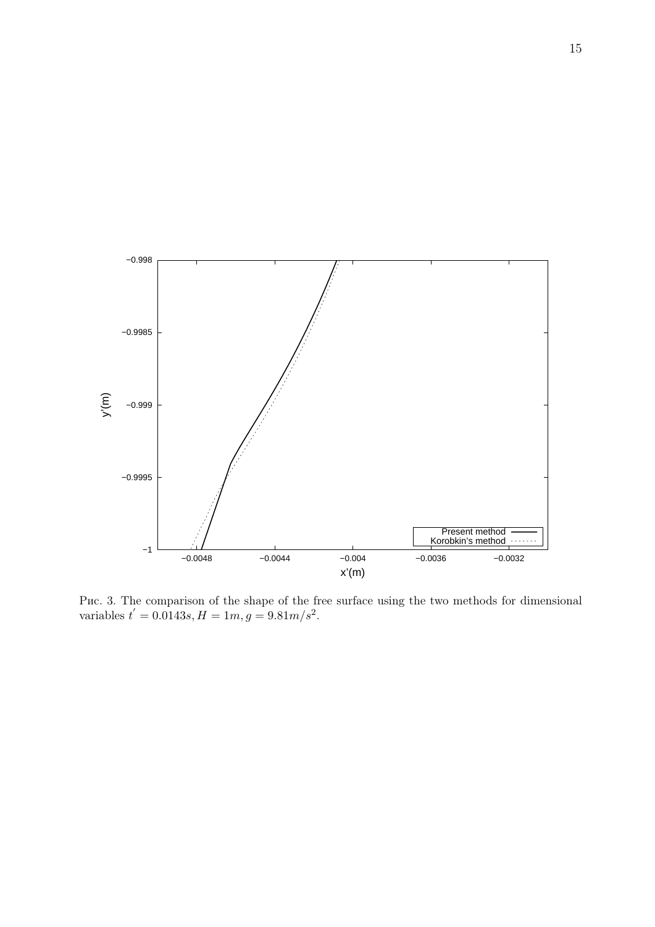

Рис. 3. The comparison of the shape of the free surface using the two methods for dimensional variables  $t' = 0.0143s, H = 1m, g = 9.81m/s^2$ .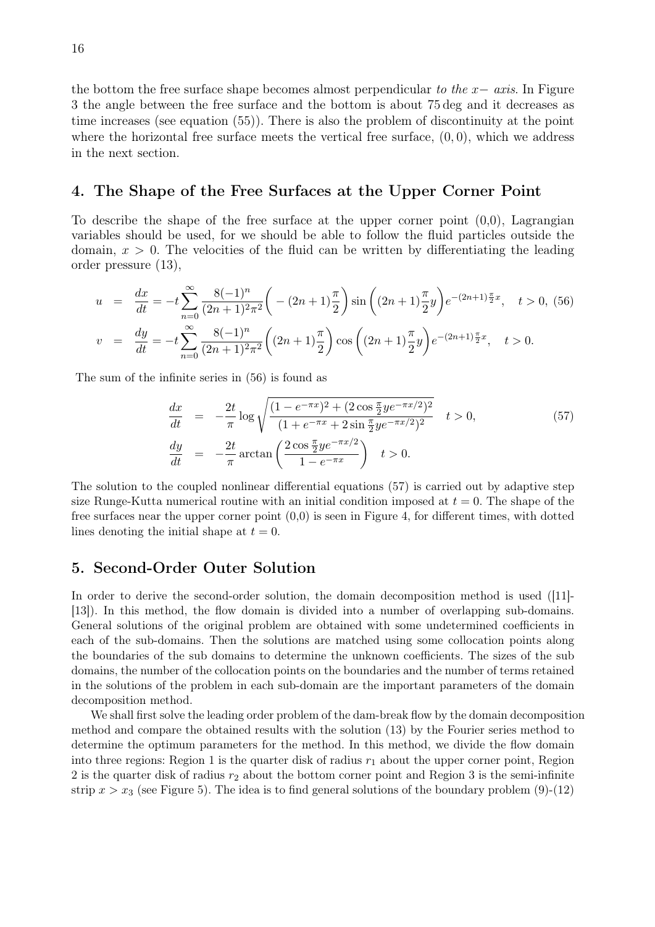the bottom the free surface shape becomes almost perpendicular *to the x− axis*. In Figure 3 the angle between the free surface and the bottom is about 75 deg and it decreases as time increases (see equation (55)). There is also the problem of discontinuity at the point where the horizontal free surface meets the vertical free surface, (0*,* 0), which we address in the next section.

# 4. The Shape of the Free Surfaces at the Upper Corner Point

To describe the shape of the free surface at the upper corner point  $(0,0)$ , Lagrangian variables should be used, for we should be able to follow the fluid particles outside the domain,  $x > 0$ . The velocities of the fluid can be written by differentiating the leading order pressure (13),

$$
u = \frac{dx}{dt} = -t \sum_{n=0}^{\infty} \frac{8(-1)^n}{(2n+1)^2 \pi^2} \left( -(2n+1)\frac{\pi}{2} \right) \sin\left( (2n+1)\frac{\pi}{2} y \right) e^{-(2n+1)\frac{\pi}{2}x}, \quad t > 0, (56)
$$
  

$$
v = \frac{dy}{dt} = -t \sum_{n=0}^{\infty} \frac{8(-1)^n}{(2n+1)^2 \pi^2} \left( (2n+1)\frac{\pi}{2} \right) \cos\left( (2n+1)\frac{\pi}{2} y \right) e^{-(2n+1)\frac{\pi}{2}x}, \quad t > 0.
$$

The sum of the infinite series in (56) is found as

$$
\frac{dx}{dt} = -\frac{2t}{\pi} \log \sqrt{\frac{(1 - e^{-\pi x})^2 + (2 \cos \frac{\pi}{2} y e^{-\pi x/2})^2}{(1 + e^{-\pi x} + 2 \sin \frac{\pi}{2} y e^{-\pi x/2})^2}} \quad t > 0,
$$
\n(57)\n
$$
\frac{dy}{dt} = -\frac{2t}{\pi} \arctan \left( \frac{2 \cos \frac{\pi}{2} y e^{-\pi x/2}}{1 - e^{-\pi x}} \right) \quad t > 0.
$$

The solution to the coupled nonlinear differential equations (57) is carried out by adaptive step size Runge-Kutta numerical routine with an initial condition imposed at  $t = 0$ . The shape of the free surfaces near the upper corner point  $(0,0)$  is seen in Figure 4, for different times, with dotted lines denoting the initial shape at  $t = 0$ .

### 5. Second-Order Outer Solution

In order to derive the second-order solution, the domain decomposition method is used ([11]- [13]). In this method, the flow domain is divided into a number of overlapping sub-domains. General solutions of the original problem are obtained with some undetermined coefficients in each of the sub-domains. Then the solutions are matched using some collocation points along the boundaries of the sub domains to determine the unknown coefficients. The sizes of the sub domains, the number of the collocation points on the boundaries and the number of terms retained in the solutions of the problem in each sub-domain are the important parameters of the domain decomposition method.

We shall first solve the leading order problem of the dam-break flow by the domain decomposition method and compare the obtained results with the solution (13) by the Fourier series method to determine the optimum parameters for the method. In this method, we divide the flow domain into three regions: Region 1 is the quarter disk of radius  $r_1$  about the upper corner point, Region 2 is the quarter disk of radius *r*<sup>2</sup> about the bottom corner point and Region 3 is the semi-infinite strip  $x > x_3$  (see Figure 5). The idea is to find general solutions of the boundary problem  $(9)-(12)$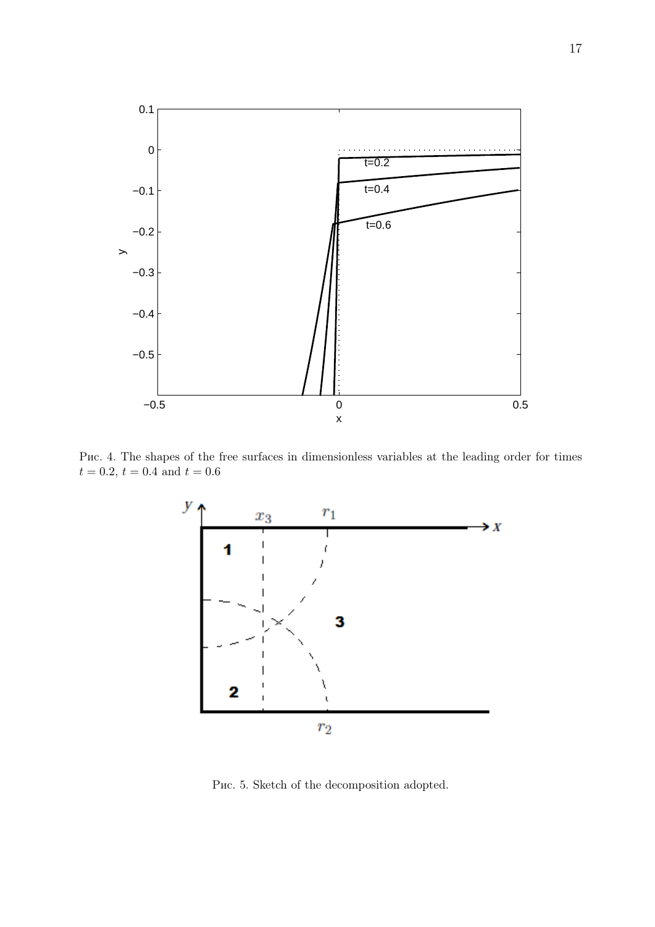

Рис. 4. The shapes of the free surfaces in dimensionless variables at the leading order for times  $t = 0.2, t = 0.4$  and  $t = 0.6$ 



Рис. 5. Sketch of the decomposition adopted.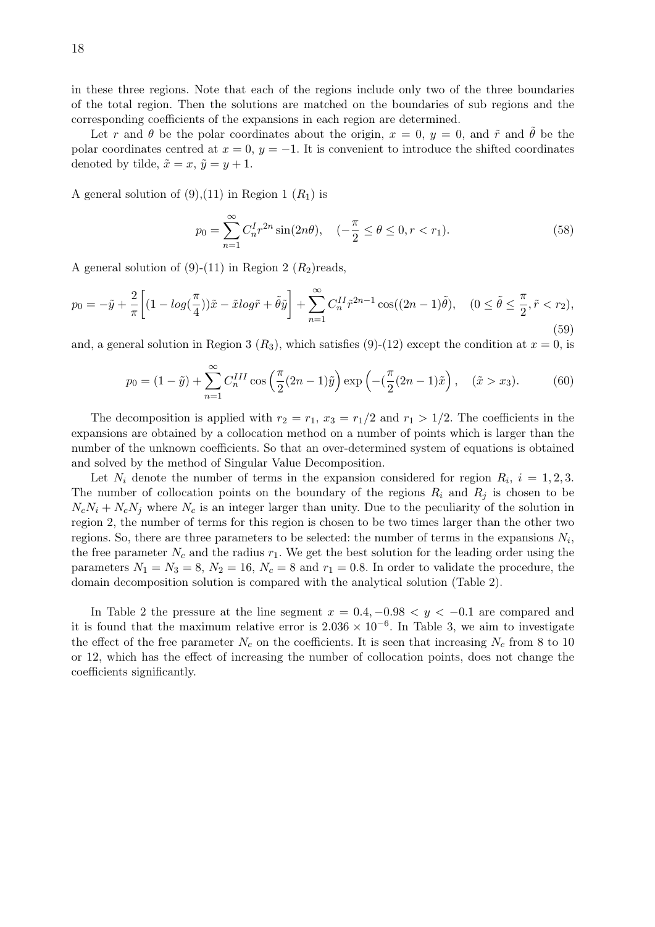in these three regions. Note that each of the regions include only two of the three boundaries of the total region. Then the solutions are matched on the boundaries of sub regions and the corresponding coefficients of the expansions in each region are determined.

Let *r* and  $\theta$  be the polar coordinates about the origin,  $x = 0$ ,  $y = 0$ , and  $\tilde{r}$  and  $\theta$  be the polar coordinates centred at  $x = 0$ ,  $y = -1$ . It is convenient to introduce the shifted coordinates denoted by tilde,  $\tilde{x} = x$ ,  $\tilde{y} = y + 1$ .

A general solution of  $(9)$ ,  $(11)$  in Region 1  $(R<sub>1</sub>)$  is

$$
p_0 = \sum_{n=1}^{\infty} C_n^I r^{2n} \sin(2n\theta), \quad (-\frac{\pi}{2} \le \theta \le 0, r < r_1). \tag{58}
$$

A general solution of  $(9)-(11)$  in Region 2  $(R_2)$ reads,

$$
p_0 = -\tilde{y} + \frac{2}{\pi} \left[ (1 - \log(\frac{\pi}{4}))\tilde{x} - \tilde{x}\log\tilde{r} + \tilde{\theta}\tilde{y} \right] + \sum_{n=1}^{\infty} C_n^{II} \tilde{r}^{2n-1} \cos((2n-1)\tilde{\theta}), \quad (0 \le \tilde{\theta} \le \frac{\pi}{2}, \tilde{r} < r_2),\tag{59}
$$

and, a general solution in Region 3  $(R_3)$ , which satisfies (9)-(12) except the condition at  $x = 0$ , is

$$
p_0 = (1 - \tilde{y}) + \sum_{n=1}^{\infty} C_n^{III} \cos\left(\frac{\pi}{2}(2n - 1)\tilde{y}\right) \exp\left(-\left(\frac{\pi}{2}(2n - 1)\tilde{x}\right), \quad (\tilde{x} > x_3). \tag{60}
$$

The decomposition is applied with  $r_2 = r_1$ ,  $x_3 = r_1/2$  and  $r_1 > 1/2$ . The coefficients in the expansions are obtained by a collocation method on a number of points which is larger than the number of the unknown coefficients. So that an over-determined system of equations is obtained and solved by the method of Singular Value Decomposition.

Let  $N_i$  denote the number of terms in the expansion considered for region  $R_i$ ,  $i = 1, 2, 3$ . The number of collocation points on the boundary of the regions  $R_i$  and  $R_j$  is chosen to be  $N_cN_i + N_cN_j$  where  $N_c$  is an integer larger than unity. Due to the peculiarity of the solution in region 2, the number of terms for this region is chosen to be two times larger than the other two regions. So, there are three parameters to be selected: the number of terms in the expansions  $N_i$ , the free parameter  $N_c$  and the radius  $r_1$ . We get the best solution for the leading order using the parameters  $N_1 = N_3 = 8$ ,  $N_2 = 16$ ,  $N_c = 8$  and  $r_1 = 0.8$ . In order to validate the procedure, the domain decomposition solution is compared with the analytical solution (Table 2).

In Table 2 the pressure at the line segment  $x = 0.4, -0.98 < y < -0.1$  are compared and it is found that the maximum relative error is  $2.036 \times 10^{-6}$ . In Table 3, we aim to investigate the effect of the free parameter  $N_c$  on the coefficients. It is seen that increasing  $N_c$  from 8 to 10 or 12, which has the effect of increasing the number of collocation points, does not change the coefficients significantly.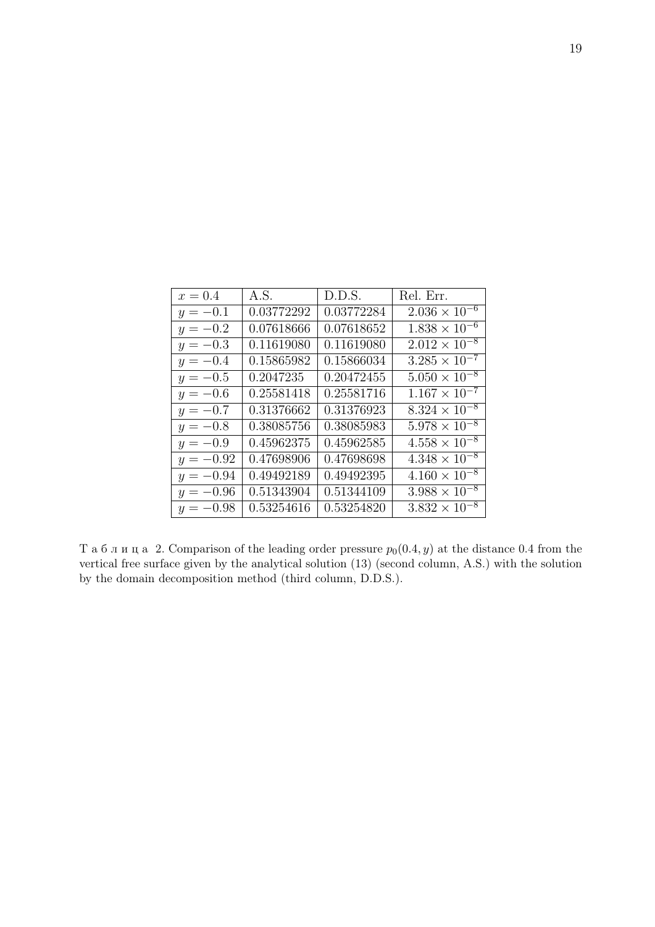| $x = 0.4$   | A.S.       | D.D.S.     | Rel. Err.              |
|-------------|------------|------------|------------------------|
| $y = -0.1$  | 0.03772292 | 0.03772284 | $2.036 \times 10^{-6}$ |
| $y = -0.2$  | 0.07618666 | 0.07618652 | $1.838 \times 10^{-6}$ |
| $y = -0.3$  | 0.11619080 | 0.11619080 | $2.012 \times 10^{-8}$ |
| $y = -0.4$  | 0.15865982 | 0.15866034 | $3.285 \times 10^{-7}$ |
| $y = -0.5$  | 0.2047235  | 0.20472455 | $5.050 \times 10^{-8}$ |
| $y = -0.6$  | 0.25581418 | 0.25581716 | $1.167 \times 10^{-7}$ |
| $y = -0.7$  | 0.31376662 | 0.31376923 | $8.324 \times 10^{-8}$ |
| $y = -0.8$  | 0.38085756 | 0.38085983 | $5.978 \times 10^{-8}$ |
| $y = -0.9$  | 0.45962375 | 0.45962585 | $4.558 \times 10^{-8}$ |
| $y = -0.92$ | 0.47698906 | 0.47698698 | $4.348 \times 10^{-8}$ |
| $y = -0.94$ | 0.49492189 | 0.49492395 | $4.160 \times 10^{-8}$ |
| $y = -0.96$ | 0.51343904 | 0.51344109 | $3.988 \times 10^{-8}$ |
| $y = -0.98$ | 0.53254616 | 0.53254820 | $3.832 \times 10^{-8}$ |

Таблица 2. Comparison of the leading order pressure  $p_0(0.4, y)$  at the distance 0.4 from the vertical free surface given by the analytical solution (13) (second column, A.S.) with the solution by the domain decomposition method (third column, D.D.S.).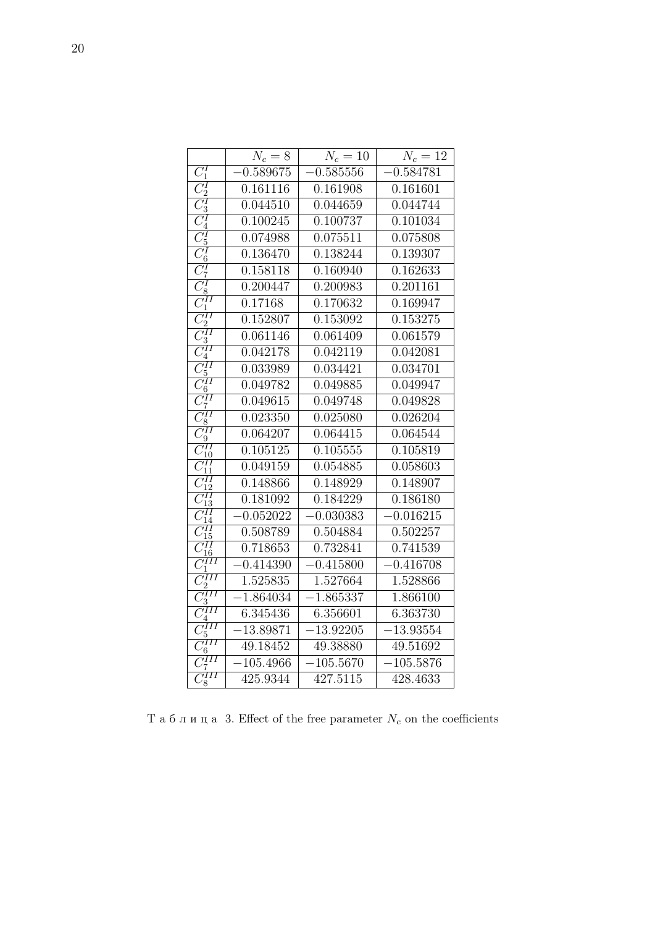|                                            | $N_c=8$     | $N_c = 10$  | $N_c=12$    |
|--------------------------------------------|-------------|-------------|-------------|
| $\overline{C_1^I}$                         | $-0.589675$ | $-0.585556$ | $-0.584781$ |
| $C_2^I$                                    | 0.161116    | 0.161908    | 0.161601    |
| $\frac{\gamma I}{3}$                       | 0.044510    | 0.044659    | 0.044744    |
| $\overline{\gamma^I_4}$                    | 0.100245    | 0.100737    | 0.101034    |
| $\overline{\mathbb{C}_5^I}$                | 0.074988    | 0.075511    | 0.075808    |
| $\overline{C_6^I}$                         | 0.136470    | 0.138244    | 0.139307    |
| $\overline{\overline{C_7^I}}$              | 0.158118    | 0.160940    | 0.162633    |
| ٦I<br>$\overline{8}$                       | 0.200447    | 0.200983    | 0.201161    |
| чH<br>$\overline{\mathcal{C}_1}$           | 0.17168     | 0.170632    | 0.169947    |
| $C_2^{II}$                                 | 0.152807    | 0.153092    | 0.153275    |
| $\bar{\tau}\!I$<br>3                       | 0.061146    | 0.061409    | 0.061579    |
| ٧H<br>4                                    | 0.042178    | 0.042119    | 0.042081    |
| ١H<br>5                                    | 0.033989    | 0.034421    | 0.034701    |
| чH<br>$\sqrt{6}$                           | 0.049782    | 0.049885    | 0.049947    |
| ٧H<br>7                                    | 0.049615    | 0.049748    | 0.049828    |
| ١H<br>8                                    | 0.023350    | 0.025080    | 0.026204    |
| ٧H<br>′9                                   | 0.064207    | 0.064415    | 0.064544    |
| ٧H<br>$^{\prime}10$                        | 0.105125    | 0.105555    | 0.105819    |
| 11                                         | 0.049159    | 0.054885    | 0.058603    |
|                                            | 0.148866    | 0.148929    | 0.148907    |
| 13                                         | 0.181092    | 0.184229    | 0.186180    |
|                                            | $-0.052022$ | $-0.030383$ | $-0.016215$ |
| 15                                         | 0.508789    | 0.504884    | 0.502257    |
| ١H<br>16                                   | 0.718653    | 0.732841    | 0.741539    |
| ١H                                         | $-0.414390$ | $-0.415800$ | $-0.416708$ |
| чH                                         | 1.525835    | 1.527664    | 1.528866    |
| ٧H                                         | $-1.864034$ | $-1.865337$ | 1.866100    |
| ١H<br>4                                    | 6.345436    | 6.356601    | 6.363730    |
| ıП<br>5                                    | $-13.89871$ | $-13.92205$ | $-13.93554$ |
| $\overline{MII}$<br>6                      | 49.18452    | 49.38880    | 49.51692    |
| чH<br>7                                    | $-105.4966$ | $-105.5670$ | $-105.5876$ |
| $\gamma III$<br>$\overline{C^{\iota}_{8}}$ | 425.9344    | 427.5115    | 428.4633    |

Т а б л и ц а 3. Effect of the free parameter *N<sup>c</sup>* on the coefficients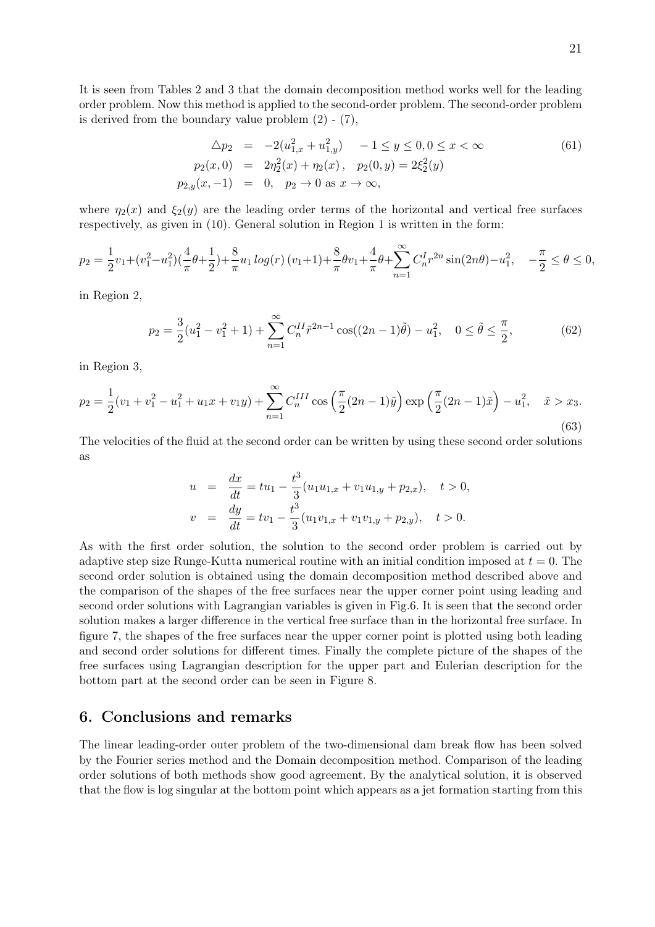It is seen from Tables 2 and 3 that the domain decomposition method works well for the leading order problem. Now this method is applied to the second-order problem. The second-order problem is derived from the boundary value problem  $(2)$  -  $(7)$ ,

$$
\Delta p_2 = -2(u_{1,x}^2 + u_{1,y}^2) - 1 \le y \le 0, 0 \le x < \infty
$$
  
\n
$$
p_2(x,0) = 2\eta_2^2(x) + \eta_2(x), \quad p_2(0,y) = 2\xi_2^2(y)
$$
  
\n
$$
p_{2,y}(x,-1) = 0, \quad p_2 \to 0 \text{ as } x \to \infty,
$$
\n(61)

where  $\eta_2(x)$  and  $\xi_2(y)$  are the leading order terms of the horizontal and vertical free surfaces respectively, as given in (10). General solution in Region 1 is written in the form:

$$
p_2 = \frac{1}{2}v_1 + (v_1^2 - u_1^2)\left(\frac{4}{\pi}\theta + \frac{1}{2}\right) + \frac{8}{\pi}u_1\log(r)\left(v_1 + 1\right) + \frac{8}{\pi}\theta v_1 + \frac{4}{\pi}\theta + \sum_{n=1}^{\infty} C_n^I r^{2n} \sin(2n\theta) - u_1^2, \quad -\frac{\pi}{2} \le \theta \le 0,
$$

in Region 2,

$$
p_2 = \frac{3}{2}(u_1^2 - v_1^2 + 1) + \sum_{n=1}^{\infty} C_n^{II} \tilde{r}^{2n-1} \cos((2n-1)\tilde{\theta}) - u_1^2, \quad 0 \le \tilde{\theta} \le \frac{\pi}{2},\tag{62}
$$

in Region 3,

$$
p_2 = \frac{1}{2}(v_1 + v_1^2 - u_1^2 + u_1 x + v_1 y) + \sum_{n=1}^{\infty} C_n^{III} \cos\left(\frac{\pi}{2}(2n-1)\tilde{y}\right) \exp\left(\frac{\pi}{2}(2n-1)\tilde{x}\right) - u_1^2, \quad \tilde{x} > x_3.
$$
\n
$$
(63)
$$

The velocities of the fluid at the second order can be written by using these second order solutions as

$$
u = \frac{dx}{dt} = tu_1 - \frac{t^3}{3}(u_1u_{1,x} + v_1u_{1,y} + p_{2,x}), \quad t > 0,
$$
  

$$
v = \frac{dy}{dt} = tv_1 - \frac{t^3}{3}(u_1v_{1,x} + v_1v_{1,y} + p_{2,y}), \quad t > 0.
$$

As with the first order solution, the solution to the second order problem is carried out by adaptive step size Runge-Kutta numerical routine with an initial condition imposed at *t* = 0. The second order solution is obtained using the domain decomposition method described above and the comparison of the shapes of the free surfaces near the upper corner point using leading and second order solutions with Lagrangian variables is given in Fig.6. It is seen that the second order solution makes a larger difference in the vertical free surface than in the horizontal free surface. In figure 7, the shapes of the free surfaces near the upper corner point is plotted using both leading and second order solutions for different times. Finally the complete picture of the shapes of the free surfaces using Lagrangian description for the upper part and Eulerian description for the bottom part at the second order can be seen in Figure 8.

### 6. Conclusions and remarks

The linear leading-order outer problem of the two-dimensional dam break flow has been solved by the Fourier series method and the Domain decomposition method. Comparison of the leading order solutions of both methods show good agreement. By the analytical solution, it is observed that the flow is log singular at the bottom point which appears as a jet formation starting from this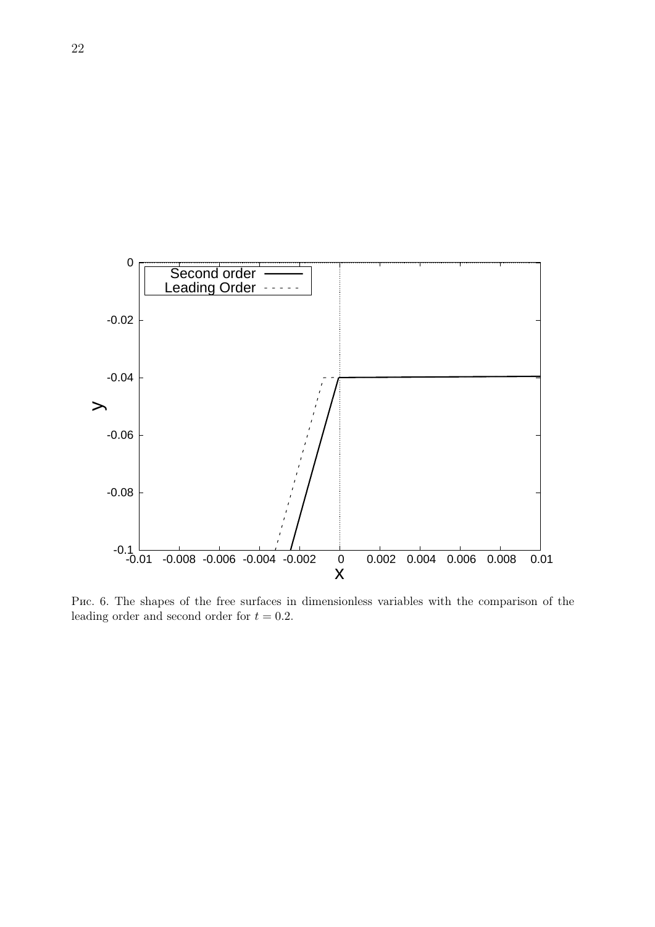

Рис. 6. The shapes of the free surfaces in dimensionless variables with the comparison of the leading order and second order for  $t = 0.2$ .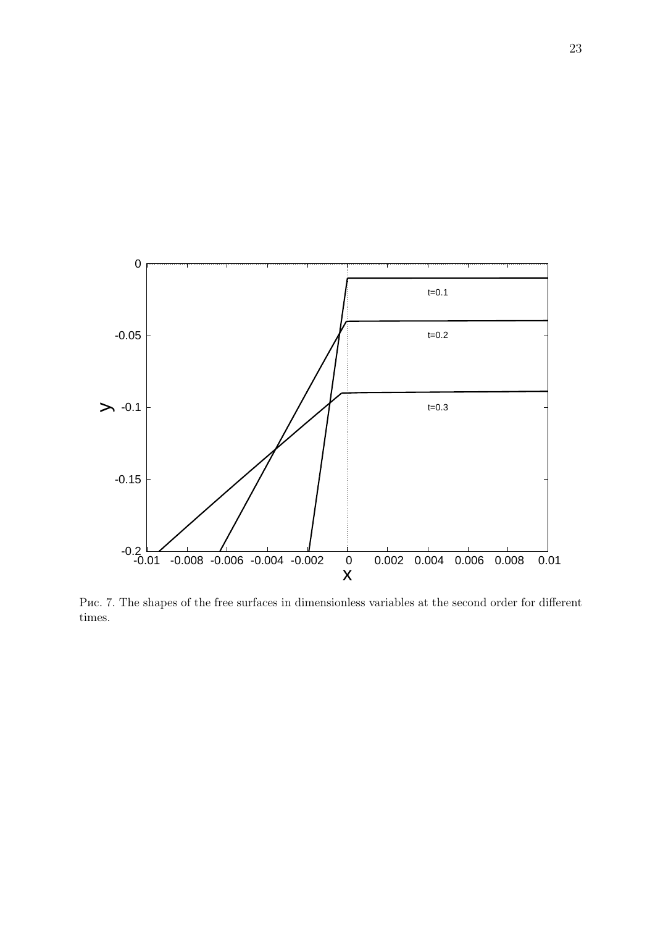

Рис. 7. The shapes of the free surfaces in dimensionless variables at the second order for different times.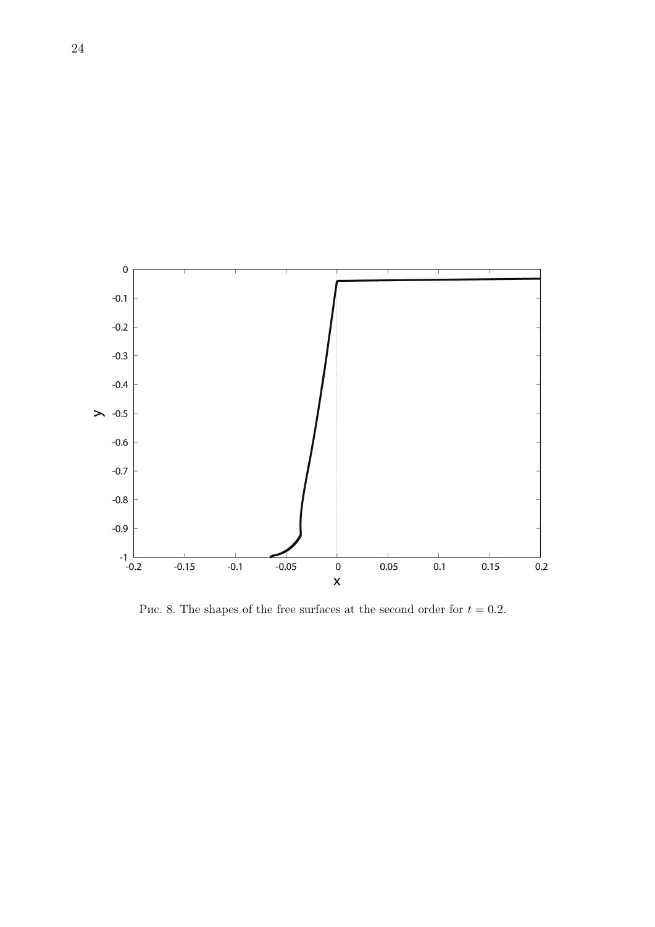

Puc. 8. The shapes of the free surfaces at the second order for  $t = 0.2$ .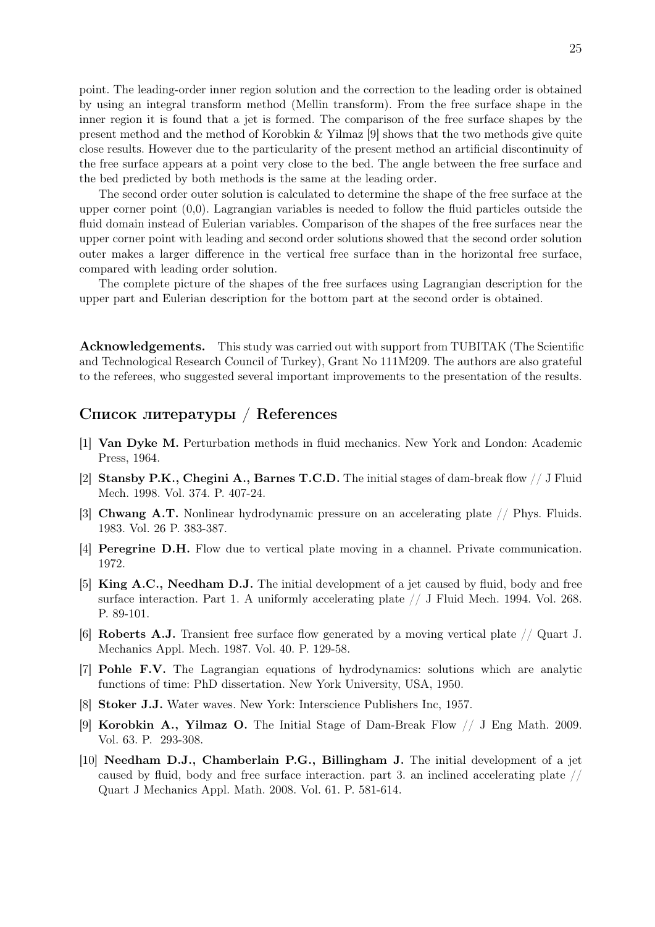point. The leading-order inner region solution and the correction to the leading order is obtained by using an integral transform method (Mellin transform). From the free surface shape in the inner region it is found that a jet is formed. The comparison of the free surface shapes by the present method and the method of Korobkin & Yilmaz [9] shows that the two methods give quite close results. However due to the particularity of the present method an artificial discontinuity of the free surface appears at a point very close to the bed. The angle between the free surface and the bed predicted by both methods is the same at the leading order.

The second order outer solution is calculated to determine the shape of the free surface at the upper corner point (0,0). Lagrangian variables is needed to follow the fluid particles outside the fluid domain instead of Eulerian variables. Comparison of the shapes of the free surfaces near the upper corner point with leading and second order solutions showed that the second order solution outer makes a larger difference in the vertical free surface than in the horizontal free surface, compared with leading order solution.

The complete picture of the shapes of the free surfaces using Lagrangian description for the upper part and Eulerian description for the bottom part at the second order is obtained.

Acknowledgements. This study was carried out with support from TUBITAK (The Scientific and Technological Research Council of Turkey), Grant No 111M209. The authors are also grateful to the referees, who suggested several important improvements to the presentation of the results.

# Список литературы / References

- [1] Van Dyke M. Perturbation methods in fluid mechanics. New York and London: Academic Press, 1964.
- [2] Stansby P.K., Chegini A., Barnes T.C.D. The initial stages of dam-break flow // J Fluid Mech. 1998. Vol. 374. P. 407-24.
- [3] Chwang A.T. Nonlinear hydrodynamic pressure on an accelerating plate // Phys. Fluids. 1983. Vol. 26 P. 383-387.
- [4] Peregrine D.H. Flow due to vertical plate moving in a channel. Private communication. 1972.
- [5] King A.C., Needham D.J. The initial development of a jet caused by fluid, body and free surface interaction. Part 1. A uniformly accelerating plate  $//$  J Fluid Mech. 1994. Vol. 268. P. 89-101.
- [6] Roberts A.J. Transient free surface flow generated by a moving vertical plate // Quart J. Mechanics Appl. Mech. 1987. Vol. 40. P. 129-58.
- [7] Pohle F.V. The Lagrangian equations of hydrodynamics: solutions which are analytic functions of time: PhD dissertation. New York University, USA, 1950.
- [8] Stoker J.J. Water waves. New York: Interscience Publishers Inc, 1957.
- [9] Korobkin A., Yilmaz O. The Initial Stage of Dam-Break Flow // J Eng Math. 2009. Vol. 63. P. 293-308.
- [10] Needham D.J., Chamberlain P.G., Billingham J. The initial development of a jet caused by fluid, body and free surface interaction. part 3. an inclined accelerating plate  $//$ Quart J Mechanics Appl. Math. 2008. Vol. 61. P. 581-614.